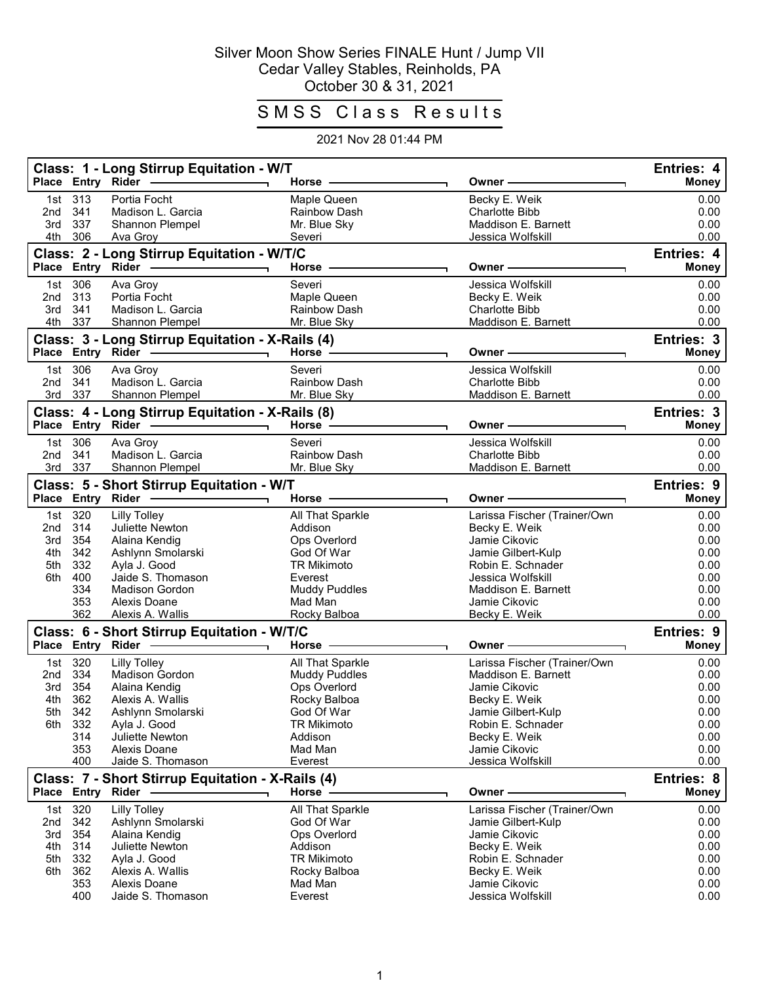## Silver Moon Show Series FINALE Hunt / Jump VII Cedar Valley Stables, Reinholds, PA October 30 & 31, 2021

## SMSS Class Results

## 2021 Nov 28 01:44 PM

|            | Place Entry Rider | Class: 1 - Long Stirrup Equitation - W/T                             | Horse -                      | Owner                                | Entries: 4<br><b>Money</b> |
|------------|-------------------|----------------------------------------------------------------------|------------------------------|--------------------------------------|----------------------------|
| 1st        | 313               | Portia Focht                                                         | Maple Queen                  | Becky E. Weik                        | 0.00                       |
| 2nd        | 341               | Madison L. Garcia                                                    | Rainbow Dash                 | <b>Charlotte Bibb</b>                | 0.00                       |
| 3rd        | 337               | Shannon Plempel                                                      | Mr. Blue Sky                 | Maddison E. Barnett                  | 0.00                       |
| 4th        | 306               | Ava Groy                                                             | Severi                       | Jessica Wolfskill                    | 0.00                       |
|            |                   | Class: 2 - Long Stirrup Equitation - W/T/C<br>Place Entry Rider      | <b>Horse</b>                 | <b>Owner</b>                         | Entries: 4<br><b>Money</b> |
| 1st        | 306               | Ava Groy                                                             | Severi                       | Jessica Wolfskill                    | 0.00                       |
| 2nd        | 313               | Portia Focht                                                         | Maple Queen                  | Becky E. Weik                        | 0.00                       |
| 3rd        | 341               | Madison L. Garcia                                                    | Rainbow Dash                 | <b>Charlotte Bibb</b>                | 0.00                       |
| 4th        | 337               | Shannon Plempel                                                      | Mr. Blue Sky                 | Maddison E. Barnett                  | 0.00                       |
|            |                   | Class: 3 - Long Stirrup Equitation - X-Rails (4)                     |                              |                                      | Entries: 3                 |
|            |                   | Place Entry Rider<br>the contract of the contract of the contract of | Horse -                      | Owner                                | <b>Money</b>               |
| 1st        | 306               | Ava Groy                                                             | Severi                       | Jessica Wolfskill                    | 0.00                       |
| 2nd        | 341               | Madison L. Garcia                                                    | <b>Rainbow Dash</b>          | <b>Charlotte Bibb</b>                | 0.00                       |
| 3rd        | 337               | Shannon Plempel                                                      | Mr. Blue Sky                 | Maddison E. Barnett                  | 0.00                       |
|            |                   | Class: 4 - Long Stirrup Equitation - X-Rails (8)                     |                              |                                      | Entries: 3                 |
|            |                   |                                                                      | Horse -                      | Owner                                | Money                      |
| 1st        | 306               | Ava Groy                                                             | Severi                       | Jessica Wolfskill                    | 0.00                       |
| 2nd        | 341               | Madison L. Garcia                                                    | <b>Rainbow Dash</b>          | Charlotte Bibb                       | 0.00                       |
| 3rd        | 337               | Shannon Plempel                                                      | Mr. Blue Sky                 | Maddison E. Barnett                  | 0.00                       |
|            |                   | Class: 5 - Short Stirrup Equitation - W/T                            |                              |                                      | <b>Entries: 9</b>          |
|            | Place Entry Rider |                                                                      | Horse ·                      | Owner                                | <b>Money</b>               |
| 1st        | 320               | <b>Lilly Tolley</b>                                                  | All That Sparkle             | Larissa Fischer (Trainer/Own         | 0.00                       |
| 2nd<br>3rd | 314<br>354        | Juliette Newton<br>Alaina Kendig                                     | Addison<br>Ops Overlord      | Becky E. Weik<br>Jamie Cikovic       | 0.00<br>0.00               |
| 4th        | 342               | Ashlynn Smolarski                                                    | God Of War                   | Jamie Gilbert-Kulp                   | 0.00                       |
| 5th        | 332               | Ayla J. Good                                                         | <b>TR Mikimoto</b>           | Robin E. Schnader                    | 0.00                       |
| 6th        | 400               | Jaide S. Thomason                                                    | Everest                      | Jessica Wolfskill                    | 0.00                       |
|            | 334               | <b>Madison Gordon</b>                                                | <b>Muddy Puddles</b>         | Maddison E. Barnett                  | 0.00                       |
|            | 353               | Alexis Doane                                                         | Mad Man                      | Jamie Cikovic                        | 0.00                       |
|            | 362               | Alexis A. Wallis                                                     | Rocky Balboa                 | Becky E. Weik                        | 0.00                       |
|            |                   | Class: 6 - Short Stirrup Equitation - W/T/C                          |                              |                                      | Entries: 9                 |
|            | Place Entry Rider |                                                                      | <b>Horse</b>                 | Owner                                | <b>Money</b>               |
| 1st        | 320               | <b>Lilly Tolley</b>                                                  | All That Sparkle             | Larissa Fischer (Trainer/Own         | 0.00                       |
| 2nd        | 334<br>354        | <b>Madison Gordon</b>                                                | <b>Muddy Puddles</b>         | Maddison E. Barnett<br>Jamie Cikovic | 0.00<br>0.00               |
| 3rd<br>4th | 362               | Alaina Kendig<br>Alexis A. Wallis                                    | Ops Overlord<br>Rocky Balboa | Becky E. Weik                        | 0.00                       |
|            | 5th 342           | Ashlynn Smolarski                                                    | God Of War                   | Jamie Gilbert-Kulp                   | 0.00                       |
|            | 6th 332           | Avla J. Good                                                         | <b>TR Mikimoto</b>           | Robin E. Schnader                    | 0.00                       |
|            | 314               | Juliette Newton                                                      | Addison                      | Becky E. Weik                        | 0.00                       |
|            | 353               | Alexis Doane                                                         | Mad Man                      | Jamie Cikovic                        | 0.00                       |
|            | 400               | Jaide S. Thomason                                                    | Everest                      | Jessica Wolfskill                    | 0.00                       |
|            |                   | Class: 7 - Short Stirrup Equitation - X-Rails (4)                    |                              |                                      | Entries: 8                 |
|            |                   | Place Entry Rider                                                    | Horse                        | Owner                                | <b>Money</b>               |
| 1st        | 320               | <b>Lilly Tolley</b>                                                  | All That Sparkle             | Larissa Fischer (Trainer/Own         | 0.00                       |
| 2nd        | 342               | Ashlynn Smolarski                                                    | God Of War                   | Jamie Gilbert-Kulp<br>Jamie Cikovic  | 0.00<br>0.00               |
| 3rd<br>4th | 354<br>314        | Alaina Kendig<br>Juliette Newton                                     | Ops Overlord<br>Addison      | Becky E. Weik                        | 0.00                       |
| 5th        | 332               | Ayla J. Good                                                         | <b>TR Mikimoto</b>           | Robin E. Schnader                    | 0.00                       |
| 6th        | 362               | Alexis A. Wallis                                                     | Rocky Balboa                 | Becky E. Weik                        | 0.00                       |
|            | 353               | Alexis Doane                                                         | Mad Man                      | Jamie Cikovic                        | 0.00                       |
|            | 400               | Jaide S. Thomason                                                    | Everest                      | Jessica Wolfskill                    | 0.00                       |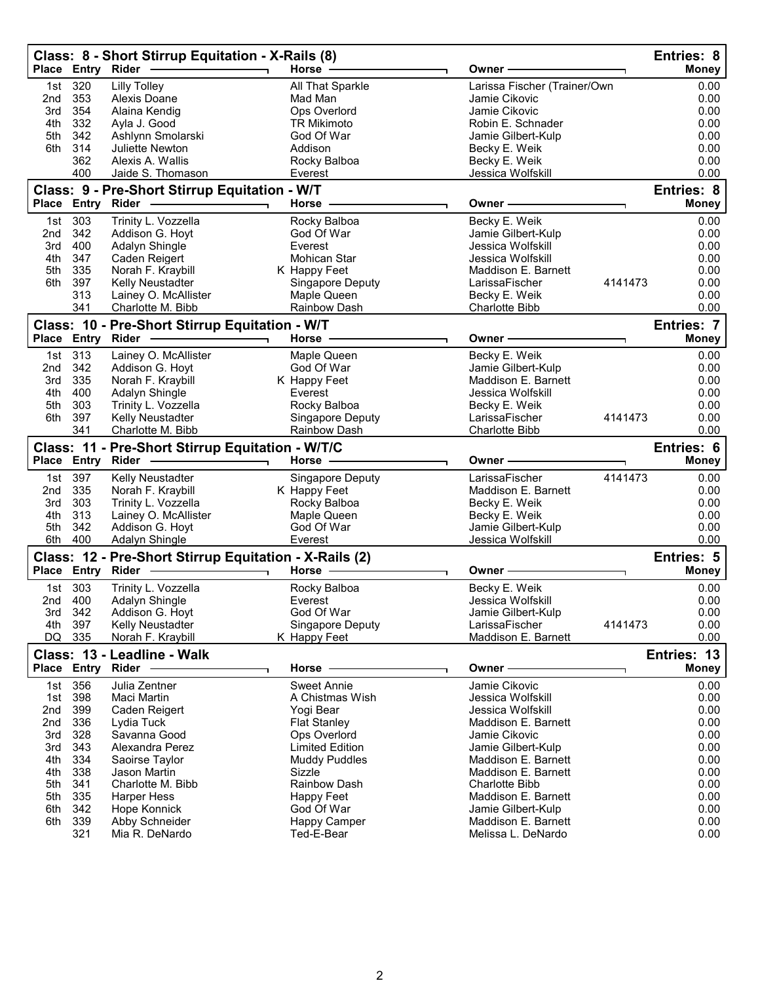|                                                                                  |                                                                                         | Class: 8 - Short Stirrup Equitation - X-Rails (8)<br>Place Entry Rider                                                                                                                                                          | Horse -                                                                              |                                                                                                                                         | Owner                                                                                                                                                                                                                                                                                  |         | Entries: 8<br>Money                                                                                  |
|----------------------------------------------------------------------------------|-----------------------------------------------------------------------------------------|---------------------------------------------------------------------------------------------------------------------------------------------------------------------------------------------------------------------------------|--------------------------------------------------------------------------------------|-----------------------------------------------------------------------------------------------------------------------------------------|----------------------------------------------------------------------------------------------------------------------------------------------------------------------------------------------------------------------------------------------------------------------------------------|---------|------------------------------------------------------------------------------------------------------|
| 1st<br>2nd<br>3rd<br>4th<br>5th<br>6th                                           | 320<br>353<br>354<br>332<br>342<br>314<br>362<br>400                                    | <b>Lilly Tolley</b><br>Alexis Doane<br>Alaina Kendig<br>Ayla J. Good<br>Ashlynn Smolarski<br>Juliette Newton<br>Alexis A. Wallis<br>Jaide S. Thomason                                                                           | Mad Man<br>God Of War<br>Addison<br>Everest                                          | All That Sparkle<br>Ops Overlord<br><b>TR Mikimoto</b><br>Rocky Balboa                                                                  | Larissa Fischer (Trainer/Own<br>Jamie Cikovic<br>Jamie Cikovic<br>Robin E. Schnader<br>Jamie Gilbert-Kulp<br>Becky E. Weik<br>Becky E. Weik<br>Jessica Wolfskill                                                                                                                       |         | 0.00<br>0.00<br>0.00<br>0.00<br>0.00<br>0.00<br>0.00<br>0.00                                         |
|                                                                                  |                                                                                         | Class: 9 - Pre-Short Stirrup Equitation - W/T<br>Place Entry Rider                                                                                                                                                              | Horse -                                                                              |                                                                                                                                         | Owner -                                                                                                                                                                                                                                                                                |         | Entries: 8<br><b>Money</b>                                                                           |
| 1st<br>2nd<br>3rd<br>4th<br>5th<br>6th                                           | 303<br>342<br>400<br>347<br>335<br>397<br>313<br>341                                    | Trinity L. Vozzella<br>Addison G. Hoyt<br>Adalyn Shingle<br>Caden Reigert<br>Norah F. Kraybill<br>Kelly Neustadter<br>Lainey O. McAllister<br>Charlotte M. Bibb                                                                 | God Of War<br>Everest<br>K Happy Feet                                                | Rocky Balboa<br>Mohican Star<br>Singapore Deputy<br>Maple Queen<br>Rainbow Dash                                                         | Becky E. Weik<br>Jamie Gilbert-Kulp<br>Jessica Wolfskill<br>Jessica Wolfskill<br>Maddison E. Barnett<br>LarissaFischer<br>Becky E. Weik<br><b>Charlotte Bibb</b>                                                                                                                       | 4141473 | 0.00<br>0.00<br>0.00<br>0.00<br>0.00<br>0.00<br>0.00<br>0.00                                         |
|                                                                                  |                                                                                         | Class: 10 - Pre-Short Stirrup Equitation - W/T<br>Place Entry Rider                                                                                                                                                             | Horse -                                                                              |                                                                                                                                         | Owner -                                                                                                                                                                                                                                                                                |         | Entries: 7<br><b>Money</b>                                                                           |
| 1st<br>2nd<br>3rd<br>4th<br>5th<br>6th                                           | 313<br>342<br>335<br>400<br>303<br>397<br>341                                           | Lainey O. McAllister<br>Addison G. Hoyt<br>Norah F. Kraybill<br>Adalyn Shingle<br>Trinity L. Vozzella<br>Kelly Neustadter<br>Charlotte M. Bibb                                                                                  | God Of War<br>K Happy Feet<br>Everest                                                | Maple Queen<br>Rocky Balboa<br>Singapore Deputy<br><b>Rainbow Dash</b>                                                                  | Becky E. Weik<br>Jamie Gilbert-Kulp<br>Maddison E. Barnett<br>Jessica Wolfskill<br>Becky E. Weik<br>LarissaFischer<br><b>Charlotte Bibb</b>                                                                                                                                            | 4141473 | 0.00<br>0.00<br>0.00<br>0.00<br>0.00<br>0.00<br>0.00                                                 |
|                                                                                  |                                                                                         | Class: 11 - Pre-Short Stirrup Equitation - W/T/C<br>Place Entry Rider                                                                                                                                                           | Horse                                                                                |                                                                                                                                         | Owner ·                                                                                                                                                                                                                                                                                |         | Entries: 6<br><b>Money</b>                                                                           |
| 1st<br>2nd<br>3rd<br>4th<br>5th<br>6th                                           | 397<br>335<br>303<br>313<br>342<br>400                                                  | Kelly Neustadter<br>Norah F. Kraybill<br>Trinity L. Vozzella<br>Lainey O. McAllister<br>Addison G. Hoyt<br>Adalyn Shingle                                                                                                       | K Happy Feet<br>God Of War<br>Everest                                                | Singapore Deputy<br>Rocky Balboa<br>Maple Queen                                                                                         | LarissaFischer<br>Maddison E. Barnett<br>Becky E. Weik<br>Becky E. Weik<br>Jamie Gilbert-Kulp<br>Jessica Wolfskill                                                                                                                                                                     | 4141473 | 0.00<br>0.00<br>0.00<br>0.00<br>0.00<br>0.00                                                         |
|                                                                                  |                                                                                         | Class: 12 - Pre-Short Stirrup Equitation - X-Rails (2)<br>Place Entry Rider -                                                                                                                                                   | Horse -                                                                              |                                                                                                                                         | Owner -                                                                                                                                                                                                                                                                                |         | Entries: 5<br><b>Money</b>                                                                           |
| 3rd<br>4th<br>DQ                                                                 | 1st 303<br>2nd 400<br>- 342<br>397<br>335                                               | Trinity L. Vozzella<br>Adalyn Shingle<br>Addison G. Hoyt<br>Kelly Neustadter<br>Norah F. Kraybill                                                                                                                               | Everest<br>God Of War<br>K Happy Feet                                                | Rocky Balboa<br><b>Singapore Deputy</b>                                                                                                 | Becky E. Weik<br>Jessica Wolfskill<br>Jamie Gilbert-Kulp<br>LarissaFischer<br>Maddison E. Barnett                                                                                                                                                                                      | 4141473 | 0.00<br>0.00<br>0.00<br>0.00<br>0.00                                                                 |
|                                                                                  |                                                                                         | Class: 13 - Leadline - Walk<br>Place Entry Rider -                                                                                                                                                                              | Horse                                                                                |                                                                                                                                         | Owner -                                                                                                                                                                                                                                                                                |         | Entries: 13<br><b>Money</b>                                                                          |
| 1st<br>1st<br>2nd<br>2nd<br>3rd<br>3rd<br>4th<br>4th<br>5th<br>5th<br>6th<br>6th | 356<br>398<br>399<br>336<br>328<br>343<br>334<br>338<br>341<br>335<br>342<br>339<br>321 | Julia Zentner<br>Maci Martin<br>Caden Reigert<br>Lydia Tuck<br>Savanna Good<br>Alexandra Perez<br>Saoirse Taylor<br>Jason Martin<br>Charlotte M. Bibb<br><b>Harper Hess</b><br>Hope Konnick<br>Abby Schneider<br>Mia R. DeNardo | Yogi Bear<br><b>Flat Stanley</b><br>Sizzle<br>Happy Feet<br>God Of War<br>Ted-E-Bear | <b>Sweet Annie</b><br>A Chistmas Wish<br>Ops Overlord<br><b>Limited Edition</b><br><b>Muddy Puddles</b><br>Rainbow Dash<br>Happy Camper | Jamie Cikovic<br>Jessica Wolfskill<br>Jessica Wolfskill<br>Maddison E. Barnett<br>Jamie Cikovic<br>Jamie Gilbert-Kulp<br>Maddison E. Barnett<br>Maddison E. Barnett<br><b>Charlotte Bibb</b><br>Maddison E. Barnett<br>Jamie Gilbert-Kulp<br>Maddison E. Barnett<br>Melissa L. DeNardo |         | 0.00<br>0.00<br>0.00<br>0.00<br>0.00<br>0.00<br>0.00<br>0.00<br>0.00<br>0.00<br>0.00<br>0.00<br>0.00 |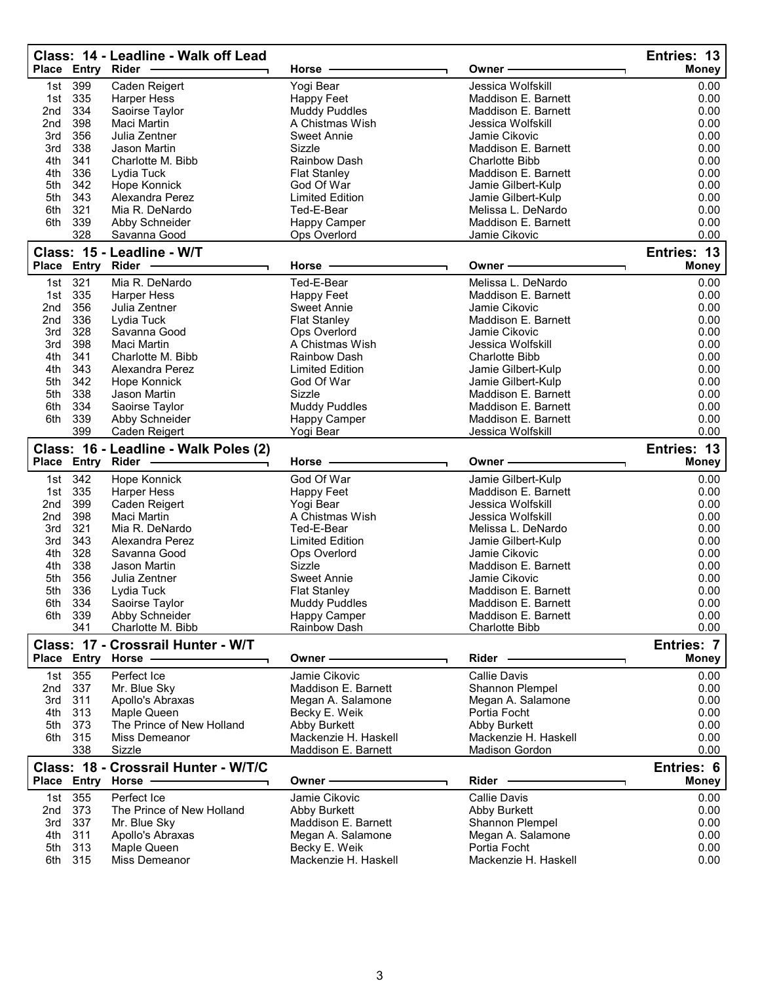| Jessica Wolfskill<br>399<br>Caden Reigert<br>Yogi Bear<br>1st<br>0.00<br>335<br>0.00<br>1st<br>Harper Hess<br>Happy Feet<br>Maddison E. Barnett<br>334<br>Maddison E. Barnett<br>0.00<br>2 <sub>nd</sub><br>Saoirse Taylor<br><b>Muddy Puddles</b><br>398<br>2nd<br>0.00<br>Maci Martin<br>A Chistmas Wish<br>Jessica Wolfskill<br>356<br>Julia Zentner<br>Jamie Cikovic<br>0.00<br>3rd<br>Sweet Annie<br>338<br>Jason Martin<br>Sizzle<br>0.00<br>3rd<br>Maddison E. Barnett<br>4th<br>341<br>0.00<br>Charlotte M. Bibb<br><b>Rainbow Dash</b><br><b>Charlotte Bibb</b><br>336<br>0.00<br>4th<br>Lydia Tuck<br><b>Flat Stanley</b><br>Maddison E. Barnett<br>342<br>God Of War<br>0.00<br>5th<br>Hope Konnick<br>Jamie Gilbert-Kulp<br>343<br><b>Limited Edition</b><br>0.00<br>5th<br>Alexandra Perez<br>Jamie Gilbert-Kulp<br>0.00<br>6th<br>321<br>Mia R. DeNardo<br>Ted-E-Bear<br>Melissa L. DeNardo<br>339<br>0.00<br>6th<br>Abby Schneider<br>Happy Camper<br>Maddison E. Barnett<br>328<br>0.00<br>Savanna Good<br>Ops Overlord<br>Jamie Cikovic<br>Class: 15 - Leadline - W/T<br>Entries: 13<br><b>Entry</b><br><b>Place</b><br>Rider<br>Horse -<br>Owner -<br><b>Money</b><br>321<br>Ted-E-Bear<br>Mia R. DeNardo<br>Melissa L. DeNardo<br>0.00<br>1st<br>335<br>Maddison E. Barnett<br>0.00<br>1st<br><b>Harper Hess</b><br>Happy Feet<br>0.00<br>356<br>2nd<br>Julia Zentner<br>Sweet Annie<br>Jamie Cikovic<br>336<br>Lydia Tuck<br>Maddison E. Barnett<br>0.00<br>2 <sub>nd</sub><br><b>Flat Stanley</b><br>328<br>0.00<br>3rd<br>Savanna Good<br>Ops Overlord<br>Jamie Cikovic<br>398<br>0.00<br><b>Maci Martin</b><br>A Chistmas Wish<br>3rd<br>Jessica Wolfskill<br>4th<br>341<br>0.00<br>Charlotte M. Bibb<br><b>Rainbow Dash</b><br><b>Charlotte Bibb</b><br>343<br>0.00<br>4th<br>Alexandra Perez<br>Limited Edition<br>Jamie Gilbert-Kulp<br>5th<br>342<br>God Of War<br>Jamie Gilbert-Kulp<br>0.00<br>Hope Konnick<br>5th<br>338<br>Jason Martin<br>Sizzle<br>Maddison E. Barnett<br>0.00<br>334<br>6th<br><b>Muddy Puddles</b><br>0.00<br>Saoirse Taylor<br>Maddison E. Barnett<br>0.00<br>6th<br>339<br>Abby Schneider<br>Happy Camper<br>Maddison E. Barnett<br>399<br>0.00<br>Caden Reigert<br>Yogi Bear<br>Jessica Wolfskill<br>Class: 16 - Leadline - Walk Poles (2)<br>Entries: 13<br>Place Entry Rider<br>Horse<br>Owner<br><b>Money</b><br>342<br>God Of War<br>0.00<br>Hope Konnick<br>Jamie Gilbert-Kulp<br>1st<br>335<br><b>Harper Hess</b><br>1st<br><b>Happy Feet</b><br>Maddison E. Barnett<br>0.00<br>399<br>Caden Reigert<br>Yogi Bear<br>Jessica Wolfskill<br>0.00<br>2nd<br>398<br><b>Maci Martin</b><br>A Chistmas Wish<br>0.00<br>2 <sub>nd</sub><br>Jessica Wolfskill<br>321<br>Ted-E-Bear<br>0.00<br>3rd<br>Mia R. DeNardo<br>Melissa L. DeNardo<br>343<br>0.00<br>3rd<br>Alexandra Perez<br><b>Limited Edition</b><br>Jamie Gilbert-Kulp<br>328<br>Jamie Cikovic<br>0.00<br>4th<br>Savanna Good<br>Ops Overlord<br>338<br>Sizzle<br>0.00<br>4th<br>Jason Martin<br>Maddison E. Barnett<br>356<br>0.00<br>5th<br>Julia Zentner<br><b>Sweet Annie</b><br>Jamie Cikovic<br>336<br>0.00<br>5th<br>Lydia Tuck<br><b>Flat Stanley</b><br>Maddison E. Barnett<br>6th<br>334<br>Saoirse Taylor<br>Muddy Puddles<br>Maddison E. Barnett<br>$0.00^{\circ}$<br>339<br>Abby Schneider<br>Happy Camper<br>Maddison E. Barnett<br>0.00<br>6th<br>341<br>Charlotte M. Bibb<br><b>Rainbow Dash</b><br><b>Charlotte Bibb</b><br>0.00<br>Class: 17 - Crossrail Hunter - W/T<br>Entries: 7<br>Place Entry Horse -<br>Rider<br><b>Money</b><br>Owner -<br>355<br>Perfect Ice<br><b>Callie Davis</b><br>Jamie Cikovic<br>0.00<br>1st<br>337<br>Mr. Blue Sky<br>0.00<br>2nd<br>Maddison E. Barnett<br>Shannon Plempel<br>Apollo's Abraxas<br>Megan A. Salamone<br>0.00<br>3rd<br>311<br>Megan A. Salamone<br>4th<br>313<br>Maple Queen<br>Portia Focht<br>0.00<br>Becky E. Weik<br>5th<br>373<br>The Prince of New Holland<br>Abby Burkett<br><b>Abby Burkett</b><br>0.00<br>315<br>Mackenzie H. Haskell<br>Mackenzie H. Haskell<br>0.00<br>6th<br>Miss Demeanor<br>338<br>Maddison E. Barnett<br><b>Madison Gordon</b><br>0.00<br>Sizzle<br>Class: 18 - Crossrail Hunter - W/T/C<br>Entries: 6<br>Place Entry<br><b>Horse</b><br>Rider<br><b>Money</b><br>Owner ·<br>1st 355<br>Perfect Ice<br>Jamie Cikovic<br><b>Callie Davis</b><br>0.00<br>373<br>The Prince of New Holland<br>Abby Burkett<br><b>Abby Burkett</b><br>0.00<br>2nd<br>337<br>Maddison E. Barnett<br>0.00<br>3rd<br>Mr. Blue Sky<br>Shannon Plempel<br>311<br>Megan A. Salamone<br>Megan A. Salamone<br>0.00<br>4th<br>Apollo's Abraxas<br>313<br>Maple Queen<br>Portia Focht<br>0.00<br>5th<br>Becky E. Weik<br>6th<br>315<br>Miss Demeanor<br>Mackenzie H. Haskell<br>Mackenzie H. Haskell<br>0.00 | Place Entry Rider | Class: 14 - Leadline - Walk off Lead | Horse | Owner - | Entries: 13<br><b>Money</b> |
|-------------------------------------------------------------------------------------------------------------------------------------------------------------------------------------------------------------------------------------------------------------------------------------------------------------------------------------------------------------------------------------------------------------------------------------------------------------------------------------------------------------------------------------------------------------------------------------------------------------------------------------------------------------------------------------------------------------------------------------------------------------------------------------------------------------------------------------------------------------------------------------------------------------------------------------------------------------------------------------------------------------------------------------------------------------------------------------------------------------------------------------------------------------------------------------------------------------------------------------------------------------------------------------------------------------------------------------------------------------------------------------------------------------------------------------------------------------------------------------------------------------------------------------------------------------------------------------------------------------------------------------------------------------------------------------------------------------------------------------------------------------------------------------------------------------------------------------------------------------------------------------------------------------------------------------------------------------------------------------------------------------------------------------------------------------------------------------------------------------------------------------------------------------------------------------------------------------------------------------------------------------------------------------------------------------------------------------------------------------------------------------------------------------------------------------------------------------------------------------------------------------------------------------------------------------------------------------------------------------------------------------------------------------------------------------------------------------------------------------------------------------------------------------------------------------------------------------------------------------------------------------------------------------------------------------------------------------------------------------------------------------------------------------------------------------------------------------------------------------------------------------------------------------------------------------------------------------------------------------------------------------------------------------------------------------------------------------------------------------------------------------------------------------------------------------------------------------------------------------------------------------------------------------------------------------------------------------------------------------------------------------------------------------------------------------------------------------------------------------------------------------------------------------------------------------------------------------------------------------------------------------------------------------------------------------------------------------------------------------------------------------------------------------------------------------------------------------------------------------------------------------------------------------------------------------------------------------------------------------------------------------------------------------------------------------------------------------------------------------------------------------------------------------------------------------------------------------------------------------------------------------------------------------------------------------------------------------------------------------------------------------------------------------------------------------------------------------------------------------------------------------------------------------------------|-------------------|--------------------------------------|-------|---------|-----------------------------|
|                                                                                                                                                                                                                                                                                                                                                                                                                                                                                                                                                                                                                                                                                                                                                                                                                                                                                                                                                                                                                                                                                                                                                                                                                                                                                                                                                                                                                                                                                                                                                                                                                                                                                                                                                                                                                                                                                                                                                                                                                                                                                                                                                                                                                                                                                                                                                                                                                                                                                                                                                                                                                                                                                                                                                                                                                                                                                                                                                                                                                                                                                                                                                                                                                                                                                                                                                                                                                                                                                                                                                                                                                                                                                                                                                                                                                                                                                                                                                                                                                                                                                                                                                                                                                                                                                                                                                                                                                                                                                                                                                                                                                                                                                                                                                                                                 |                   |                                      |       |         |                             |
|                                                                                                                                                                                                                                                                                                                                                                                                                                                                                                                                                                                                                                                                                                                                                                                                                                                                                                                                                                                                                                                                                                                                                                                                                                                                                                                                                                                                                                                                                                                                                                                                                                                                                                                                                                                                                                                                                                                                                                                                                                                                                                                                                                                                                                                                                                                                                                                                                                                                                                                                                                                                                                                                                                                                                                                                                                                                                                                                                                                                                                                                                                                                                                                                                                                                                                                                                                                                                                                                                                                                                                                                                                                                                                                                                                                                                                                                                                                                                                                                                                                                                                                                                                                                                                                                                                                                                                                                                                                                                                                                                                                                                                                                                                                                                                                                 |                   |                                      |       |         |                             |
|                                                                                                                                                                                                                                                                                                                                                                                                                                                                                                                                                                                                                                                                                                                                                                                                                                                                                                                                                                                                                                                                                                                                                                                                                                                                                                                                                                                                                                                                                                                                                                                                                                                                                                                                                                                                                                                                                                                                                                                                                                                                                                                                                                                                                                                                                                                                                                                                                                                                                                                                                                                                                                                                                                                                                                                                                                                                                                                                                                                                                                                                                                                                                                                                                                                                                                                                                                                                                                                                                                                                                                                                                                                                                                                                                                                                                                                                                                                                                                                                                                                                                                                                                                                                                                                                                                                                                                                                                                                                                                                                                                                                                                                                                                                                                                                                 |                   |                                      |       |         |                             |
|                                                                                                                                                                                                                                                                                                                                                                                                                                                                                                                                                                                                                                                                                                                                                                                                                                                                                                                                                                                                                                                                                                                                                                                                                                                                                                                                                                                                                                                                                                                                                                                                                                                                                                                                                                                                                                                                                                                                                                                                                                                                                                                                                                                                                                                                                                                                                                                                                                                                                                                                                                                                                                                                                                                                                                                                                                                                                                                                                                                                                                                                                                                                                                                                                                                                                                                                                                                                                                                                                                                                                                                                                                                                                                                                                                                                                                                                                                                                                                                                                                                                                                                                                                                                                                                                                                                                                                                                                                                                                                                                                                                                                                                                                                                                                                                                 |                   |                                      |       |         |                             |
|                                                                                                                                                                                                                                                                                                                                                                                                                                                                                                                                                                                                                                                                                                                                                                                                                                                                                                                                                                                                                                                                                                                                                                                                                                                                                                                                                                                                                                                                                                                                                                                                                                                                                                                                                                                                                                                                                                                                                                                                                                                                                                                                                                                                                                                                                                                                                                                                                                                                                                                                                                                                                                                                                                                                                                                                                                                                                                                                                                                                                                                                                                                                                                                                                                                                                                                                                                                                                                                                                                                                                                                                                                                                                                                                                                                                                                                                                                                                                                                                                                                                                                                                                                                                                                                                                                                                                                                                                                                                                                                                                                                                                                                                                                                                                                                                 |                   |                                      |       |         |                             |
|                                                                                                                                                                                                                                                                                                                                                                                                                                                                                                                                                                                                                                                                                                                                                                                                                                                                                                                                                                                                                                                                                                                                                                                                                                                                                                                                                                                                                                                                                                                                                                                                                                                                                                                                                                                                                                                                                                                                                                                                                                                                                                                                                                                                                                                                                                                                                                                                                                                                                                                                                                                                                                                                                                                                                                                                                                                                                                                                                                                                                                                                                                                                                                                                                                                                                                                                                                                                                                                                                                                                                                                                                                                                                                                                                                                                                                                                                                                                                                                                                                                                                                                                                                                                                                                                                                                                                                                                                                                                                                                                                                                                                                                                                                                                                                                                 |                   |                                      |       |         |                             |
|                                                                                                                                                                                                                                                                                                                                                                                                                                                                                                                                                                                                                                                                                                                                                                                                                                                                                                                                                                                                                                                                                                                                                                                                                                                                                                                                                                                                                                                                                                                                                                                                                                                                                                                                                                                                                                                                                                                                                                                                                                                                                                                                                                                                                                                                                                                                                                                                                                                                                                                                                                                                                                                                                                                                                                                                                                                                                                                                                                                                                                                                                                                                                                                                                                                                                                                                                                                                                                                                                                                                                                                                                                                                                                                                                                                                                                                                                                                                                                                                                                                                                                                                                                                                                                                                                                                                                                                                                                                                                                                                                                                                                                                                                                                                                                                                 |                   |                                      |       |         |                             |
|                                                                                                                                                                                                                                                                                                                                                                                                                                                                                                                                                                                                                                                                                                                                                                                                                                                                                                                                                                                                                                                                                                                                                                                                                                                                                                                                                                                                                                                                                                                                                                                                                                                                                                                                                                                                                                                                                                                                                                                                                                                                                                                                                                                                                                                                                                                                                                                                                                                                                                                                                                                                                                                                                                                                                                                                                                                                                                                                                                                                                                                                                                                                                                                                                                                                                                                                                                                                                                                                                                                                                                                                                                                                                                                                                                                                                                                                                                                                                                                                                                                                                                                                                                                                                                                                                                                                                                                                                                                                                                                                                                                                                                                                                                                                                                                                 |                   |                                      |       |         |                             |
|                                                                                                                                                                                                                                                                                                                                                                                                                                                                                                                                                                                                                                                                                                                                                                                                                                                                                                                                                                                                                                                                                                                                                                                                                                                                                                                                                                                                                                                                                                                                                                                                                                                                                                                                                                                                                                                                                                                                                                                                                                                                                                                                                                                                                                                                                                                                                                                                                                                                                                                                                                                                                                                                                                                                                                                                                                                                                                                                                                                                                                                                                                                                                                                                                                                                                                                                                                                                                                                                                                                                                                                                                                                                                                                                                                                                                                                                                                                                                                                                                                                                                                                                                                                                                                                                                                                                                                                                                                                                                                                                                                                                                                                                                                                                                                                                 |                   |                                      |       |         |                             |
|                                                                                                                                                                                                                                                                                                                                                                                                                                                                                                                                                                                                                                                                                                                                                                                                                                                                                                                                                                                                                                                                                                                                                                                                                                                                                                                                                                                                                                                                                                                                                                                                                                                                                                                                                                                                                                                                                                                                                                                                                                                                                                                                                                                                                                                                                                                                                                                                                                                                                                                                                                                                                                                                                                                                                                                                                                                                                                                                                                                                                                                                                                                                                                                                                                                                                                                                                                                                                                                                                                                                                                                                                                                                                                                                                                                                                                                                                                                                                                                                                                                                                                                                                                                                                                                                                                                                                                                                                                                                                                                                                                                                                                                                                                                                                                                                 |                   |                                      |       |         |                             |
|                                                                                                                                                                                                                                                                                                                                                                                                                                                                                                                                                                                                                                                                                                                                                                                                                                                                                                                                                                                                                                                                                                                                                                                                                                                                                                                                                                                                                                                                                                                                                                                                                                                                                                                                                                                                                                                                                                                                                                                                                                                                                                                                                                                                                                                                                                                                                                                                                                                                                                                                                                                                                                                                                                                                                                                                                                                                                                                                                                                                                                                                                                                                                                                                                                                                                                                                                                                                                                                                                                                                                                                                                                                                                                                                                                                                                                                                                                                                                                                                                                                                                                                                                                                                                                                                                                                                                                                                                                                                                                                                                                                                                                                                                                                                                                                                 |                   |                                      |       |         |                             |
|                                                                                                                                                                                                                                                                                                                                                                                                                                                                                                                                                                                                                                                                                                                                                                                                                                                                                                                                                                                                                                                                                                                                                                                                                                                                                                                                                                                                                                                                                                                                                                                                                                                                                                                                                                                                                                                                                                                                                                                                                                                                                                                                                                                                                                                                                                                                                                                                                                                                                                                                                                                                                                                                                                                                                                                                                                                                                                                                                                                                                                                                                                                                                                                                                                                                                                                                                                                                                                                                                                                                                                                                                                                                                                                                                                                                                                                                                                                                                                                                                                                                                                                                                                                                                                                                                                                                                                                                                                                                                                                                                                                                                                                                                                                                                                                                 |                   |                                      |       |         |                             |
|                                                                                                                                                                                                                                                                                                                                                                                                                                                                                                                                                                                                                                                                                                                                                                                                                                                                                                                                                                                                                                                                                                                                                                                                                                                                                                                                                                                                                                                                                                                                                                                                                                                                                                                                                                                                                                                                                                                                                                                                                                                                                                                                                                                                                                                                                                                                                                                                                                                                                                                                                                                                                                                                                                                                                                                                                                                                                                                                                                                                                                                                                                                                                                                                                                                                                                                                                                                                                                                                                                                                                                                                                                                                                                                                                                                                                                                                                                                                                                                                                                                                                                                                                                                                                                                                                                                                                                                                                                                                                                                                                                                                                                                                                                                                                                                                 |                   |                                      |       |         |                             |
|                                                                                                                                                                                                                                                                                                                                                                                                                                                                                                                                                                                                                                                                                                                                                                                                                                                                                                                                                                                                                                                                                                                                                                                                                                                                                                                                                                                                                                                                                                                                                                                                                                                                                                                                                                                                                                                                                                                                                                                                                                                                                                                                                                                                                                                                                                                                                                                                                                                                                                                                                                                                                                                                                                                                                                                                                                                                                                                                                                                                                                                                                                                                                                                                                                                                                                                                                                                                                                                                                                                                                                                                                                                                                                                                                                                                                                                                                                                                                                                                                                                                                                                                                                                                                                                                                                                                                                                                                                                                                                                                                                                                                                                                                                                                                                                                 |                   |                                      |       |         |                             |
|                                                                                                                                                                                                                                                                                                                                                                                                                                                                                                                                                                                                                                                                                                                                                                                                                                                                                                                                                                                                                                                                                                                                                                                                                                                                                                                                                                                                                                                                                                                                                                                                                                                                                                                                                                                                                                                                                                                                                                                                                                                                                                                                                                                                                                                                                                                                                                                                                                                                                                                                                                                                                                                                                                                                                                                                                                                                                                                                                                                                                                                                                                                                                                                                                                                                                                                                                                                                                                                                                                                                                                                                                                                                                                                                                                                                                                                                                                                                                                                                                                                                                                                                                                                                                                                                                                                                                                                                                                                                                                                                                                                                                                                                                                                                                                                                 |                   |                                      |       |         |                             |
|                                                                                                                                                                                                                                                                                                                                                                                                                                                                                                                                                                                                                                                                                                                                                                                                                                                                                                                                                                                                                                                                                                                                                                                                                                                                                                                                                                                                                                                                                                                                                                                                                                                                                                                                                                                                                                                                                                                                                                                                                                                                                                                                                                                                                                                                                                                                                                                                                                                                                                                                                                                                                                                                                                                                                                                                                                                                                                                                                                                                                                                                                                                                                                                                                                                                                                                                                                                                                                                                                                                                                                                                                                                                                                                                                                                                                                                                                                                                                                                                                                                                                                                                                                                                                                                                                                                                                                                                                                                                                                                                                                                                                                                                                                                                                                                                 |                   |                                      |       |         |                             |
|                                                                                                                                                                                                                                                                                                                                                                                                                                                                                                                                                                                                                                                                                                                                                                                                                                                                                                                                                                                                                                                                                                                                                                                                                                                                                                                                                                                                                                                                                                                                                                                                                                                                                                                                                                                                                                                                                                                                                                                                                                                                                                                                                                                                                                                                                                                                                                                                                                                                                                                                                                                                                                                                                                                                                                                                                                                                                                                                                                                                                                                                                                                                                                                                                                                                                                                                                                                                                                                                                                                                                                                                                                                                                                                                                                                                                                                                                                                                                                                                                                                                                                                                                                                                                                                                                                                                                                                                                                                                                                                                                                                                                                                                                                                                                                                                 |                   |                                      |       |         |                             |
|                                                                                                                                                                                                                                                                                                                                                                                                                                                                                                                                                                                                                                                                                                                                                                                                                                                                                                                                                                                                                                                                                                                                                                                                                                                                                                                                                                                                                                                                                                                                                                                                                                                                                                                                                                                                                                                                                                                                                                                                                                                                                                                                                                                                                                                                                                                                                                                                                                                                                                                                                                                                                                                                                                                                                                                                                                                                                                                                                                                                                                                                                                                                                                                                                                                                                                                                                                                                                                                                                                                                                                                                                                                                                                                                                                                                                                                                                                                                                                                                                                                                                                                                                                                                                                                                                                                                                                                                                                                                                                                                                                                                                                                                                                                                                                                                 |                   |                                      |       |         |                             |
|                                                                                                                                                                                                                                                                                                                                                                                                                                                                                                                                                                                                                                                                                                                                                                                                                                                                                                                                                                                                                                                                                                                                                                                                                                                                                                                                                                                                                                                                                                                                                                                                                                                                                                                                                                                                                                                                                                                                                                                                                                                                                                                                                                                                                                                                                                                                                                                                                                                                                                                                                                                                                                                                                                                                                                                                                                                                                                                                                                                                                                                                                                                                                                                                                                                                                                                                                                                                                                                                                                                                                                                                                                                                                                                                                                                                                                                                                                                                                                                                                                                                                                                                                                                                                                                                                                                                                                                                                                                                                                                                                                                                                                                                                                                                                                                                 |                   |                                      |       |         |                             |
|                                                                                                                                                                                                                                                                                                                                                                                                                                                                                                                                                                                                                                                                                                                                                                                                                                                                                                                                                                                                                                                                                                                                                                                                                                                                                                                                                                                                                                                                                                                                                                                                                                                                                                                                                                                                                                                                                                                                                                                                                                                                                                                                                                                                                                                                                                                                                                                                                                                                                                                                                                                                                                                                                                                                                                                                                                                                                                                                                                                                                                                                                                                                                                                                                                                                                                                                                                                                                                                                                                                                                                                                                                                                                                                                                                                                                                                                                                                                                                                                                                                                                                                                                                                                                                                                                                                                                                                                                                                                                                                                                                                                                                                                                                                                                                                                 |                   |                                      |       |         |                             |
|                                                                                                                                                                                                                                                                                                                                                                                                                                                                                                                                                                                                                                                                                                                                                                                                                                                                                                                                                                                                                                                                                                                                                                                                                                                                                                                                                                                                                                                                                                                                                                                                                                                                                                                                                                                                                                                                                                                                                                                                                                                                                                                                                                                                                                                                                                                                                                                                                                                                                                                                                                                                                                                                                                                                                                                                                                                                                                                                                                                                                                                                                                                                                                                                                                                                                                                                                                                                                                                                                                                                                                                                                                                                                                                                                                                                                                                                                                                                                                                                                                                                                                                                                                                                                                                                                                                                                                                                                                                                                                                                                                                                                                                                                                                                                                                                 |                   |                                      |       |         |                             |
|                                                                                                                                                                                                                                                                                                                                                                                                                                                                                                                                                                                                                                                                                                                                                                                                                                                                                                                                                                                                                                                                                                                                                                                                                                                                                                                                                                                                                                                                                                                                                                                                                                                                                                                                                                                                                                                                                                                                                                                                                                                                                                                                                                                                                                                                                                                                                                                                                                                                                                                                                                                                                                                                                                                                                                                                                                                                                                                                                                                                                                                                                                                                                                                                                                                                                                                                                                                                                                                                                                                                                                                                                                                                                                                                                                                                                                                                                                                                                                                                                                                                                                                                                                                                                                                                                                                                                                                                                                                                                                                                                                                                                                                                                                                                                                                                 |                   |                                      |       |         |                             |
|                                                                                                                                                                                                                                                                                                                                                                                                                                                                                                                                                                                                                                                                                                                                                                                                                                                                                                                                                                                                                                                                                                                                                                                                                                                                                                                                                                                                                                                                                                                                                                                                                                                                                                                                                                                                                                                                                                                                                                                                                                                                                                                                                                                                                                                                                                                                                                                                                                                                                                                                                                                                                                                                                                                                                                                                                                                                                                                                                                                                                                                                                                                                                                                                                                                                                                                                                                                                                                                                                                                                                                                                                                                                                                                                                                                                                                                                                                                                                                                                                                                                                                                                                                                                                                                                                                                                                                                                                                                                                                                                                                                                                                                                                                                                                                                                 |                   |                                      |       |         |                             |
|                                                                                                                                                                                                                                                                                                                                                                                                                                                                                                                                                                                                                                                                                                                                                                                                                                                                                                                                                                                                                                                                                                                                                                                                                                                                                                                                                                                                                                                                                                                                                                                                                                                                                                                                                                                                                                                                                                                                                                                                                                                                                                                                                                                                                                                                                                                                                                                                                                                                                                                                                                                                                                                                                                                                                                                                                                                                                                                                                                                                                                                                                                                                                                                                                                                                                                                                                                                                                                                                                                                                                                                                                                                                                                                                                                                                                                                                                                                                                                                                                                                                                                                                                                                                                                                                                                                                                                                                                                                                                                                                                                                                                                                                                                                                                                                                 |                   |                                      |       |         |                             |
|                                                                                                                                                                                                                                                                                                                                                                                                                                                                                                                                                                                                                                                                                                                                                                                                                                                                                                                                                                                                                                                                                                                                                                                                                                                                                                                                                                                                                                                                                                                                                                                                                                                                                                                                                                                                                                                                                                                                                                                                                                                                                                                                                                                                                                                                                                                                                                                                                                                                                                                                                                                                                                                                                                                                                                                                                                                                                                                                                                                                                                                                                                                                                                                                                                                                                                                                                                                                                                                                                                                                                                                                                                                                                                                                                                                                                                                                                                                                                                                                                                                                                                                                                                                                                                                                                                                                                                                                                                                                                                                                                                                                                                                                                                                                                                                                 |                   |                                      |       |         |                             |
|                                                                                                                                                                                                                                                                                                                                                                                                                                                                                                                                                                                                                                                                                                                                                                                                                                                                                                                                                                                                                                                                                                                                                                                                                                                                                                                                                                                                                                                                                                                                                                                                                                                                                                                                                                                                                                                                                                                                                                                                                                                                                                                                                                                                                                                                                                                                                                                                                                                                                                                                                                                                                                                                                                                                                                                                                                                                                                                                                                                                                                                                                                                                                                                                                                                                                                                                                                                                                                                                                                                                                                                                                                                                                                                                                                                                                                                                                                                                                                                                                                                                                                                                                                                                                                                                                                                                                                                                                                                                                                                                                                                                                                                                                                                                                                                                 |                   |                                      |       |         |                             |
|                                                                                                                                                                                                                                                                                                                                                                                                                                                                                                                                                                                                                                                                                                                                                                                                                                                                                                                                                                                                                                                                                                                                                                                                                                                                                                                                                                                                                                                                                                                                                                                                                                                                                                                                                                                                                                                                                                                                                                                                                                                                                                                                                                                                                                                                                                                                                                                                                                                                                                                                                                                                                                                                                                                                                                                                                                                                                                                                                                                                                                                                                                                                                                                                                                                                                                                                                                                                                                                                                                                                                                                                                                                                                                                                                                                                                                                                                                                                                                                                                                                                                                                                                                                                                                                                                                                                                                                                                                                                                                                                                                                                                                                                                                                                                                                                 |                   |                                      |       |         |                             |
|                                                                                                                                                                                                                                                                                                                                                                                                                                                                                                                                                                                                                                                                                                                                                                                                                                                                                                                                                                                                                                                                                                                                                                                                                                                                                                                                                                                                                                                                                                                                                                                                                                                                                                                                                                                                                                                                                                                                                                                                                                                                                                                                                                                                                                                                                                                                                                                                                                                                                                                                                                                                                                                                                                                                                                                                                                                                                                                                                                                                                                                                                                                                                                                                                                                                                                                                                                                                                                                                                                                                                                                                                                                                                                                                                                                                                                                                                                                                                                                                                                                                                                                                                                                                                                                                                                                                                                                                                                                                                                                                                                                                                                                                                                                                                                                                 |                   |                                      |       |         |                             |
|                                                                                                                                                                                                                                                                                                                                                                                                                                                                                                                                                                                                                                                                                                                                                                                                                                                                                                                                                                                                                                                                                                                                                                                                                                                                                                                                                                                                                                                                                                                                                                                                                                                                                                                                                                                                                                                                                                                                                                                                                                                                                                                                                                                                                                                                                                                                                                                                                                                                                                                                                                                                                                                                                                                                                                                                                                                                                                                                                                                                                                                                                                                                                                                                                                                                                                                                                                                                                                                                                                                                                                                                                                                                                                                                                                                                                                                                                                                                                                                                                                                                                                                                                                                                                                                                                                                                                                                                                                                                                                                                                                                                                                                                                                                                                                                                 |                   |                                      |       |         |                             |
|                                                                                                                                                                                                                                                                                                                                                                                                                                                                                                                                                                                                                                                                                                                                                                                                                                                                                                                                                                                                                                                                                                                                                                                                                                                                                                                                                                                                                                                                                                                                                                                                                                                                                                                                                                                                                                                                                                                                                                                                                                                                                                                                                                                                                                                                                                                                                                                                                                                                                                                                                                                                                                                                                                                                                                                                                                                                                                                                                                                                                                                                                                                                                                                                                                                                                                                                                                                                                                                                                                                                                                                                                                                                                                                                                                                                                                                                                                                                                                                                                                                                                                                                                                                                                                                                                                                                                                                                                                                                                                                                                                                                                                                                                                                                                                                                 |                   |                                      |       |         |                             |
|                                                                                                                                                                                                                                                                                                                                                                                                                                                                                                                                                                                                                                                                                                                                                                                                                                                                                                                                                                                                                                                                                                                                                                                                                                                                                                                                                                                                                                                                                                                                                                                                                                                                                                                                                                                                                                                                                                                                                                                                                                                                                                                                                                                                                                                                                                                                                                                                                                                                                                                                                                                                                                                                                                                                                                                                                                                                                                                                                                                                                                                                                                                                                                                                                                                                                                                                                                                                                                                                                                                                                                                                                                                                                                                                                                                                                                                                                                                                                                                                                                                                                                                                                                                                                                                                                                                                                                                                                                                                                                                                                                                                                                                                                                                                                                                                 |                   |                                      |       |         |                             |
|                                                                                                                                                                                                                                                                                                                                                                                                                                                                                                                                                                                                                                                                                                                                                                                                                                                                                                                                                                                                                                                                                                                                                                                                                                                                                                                                                                                                                                                                                                                                                                                                                                                                                                                                                                                                                                                                                                                                                                                                                                                                                                                                                                                                                                                                                                                                                                                                                                                                                                                                                                                                                                                                                                                                                                                                                                                                                                                                                                                                                                                                                                                                                                                                                                                                                                                                                                                                                                                                                                                                                                                                                                                                                                                                                                                                                                                                                                                                                                                                                                                                                                                                                                                                                                                                                                                                                                                                                                                                                                                                                                                                                                                                                                                                                                                                 |                   |                                      |       |         |                             |
|                                                                                                                                                                                                                                                                                                                                                                                                                                                                                                                                                                                                                                                                                                                                                                                                                                                                                                                                                                                                                                                                                                                                                                                                                                                                                                                                                                                                                                                                                                                                                                                                                                                                                                                                                                                                                                                                                                                                                                                                                                                                                                                                                                                                                                                                                                                                                                                                                                                                                                                                                                                                                                                                                                                                                                                                                                                                                                                                                                                                                                                                                                                                                                                                                                                                                                                                                                                                                                                                                                                                                                                                                                                                                                                                                                                                                                                                                                                                                                                                                                                                                                                                                                                                                                                                                                                                                                                                                                                                                                                                                                                                                                                                                                                                                                                                 |                   |                                      |       |         |                             |
|                                                                                                                                                                                                                                                                                                                                                                                                                                                                                                                                                                                                                                                                                                                                                                                                                                                                                                                                                                                                                                                                                                                                                                                                                                                                                                                                                                                                                                                                                                                                                                                                                                                                                                                                                                                                                                                                                                                                                                                                                                                                                                                                                                                                                                                                                                                                                                                                                                                                                                                                                                                                                                                                                                                                                                                                                                                                                                                                                                                                                                                                                                                                                                                                                                                                                                                                                                                                                                                                                                                                                                                                                                                                                                                                                                                                                                                                                                                                                                                                                                                                                                                                                                                                                                                                                                                                                                                                                                                                                                                                                                                                                                                                                                                                                                                                 |                   |                                      |       |         |                             |
|                                                                                                                                                                                                                                                                                                                                                                                                                                                                                                                                                                                                                                                                                                                                                                                                                                                                                                                                                                                                                                                                                                                                                                                                                                                                                                                                                                                                                                                                                                                                                                                                                                                                                                                                                                                                                                                                                                                                                                                                                                                                                                                                                                                                                                                                                                                                                                                                                                                                                                                                                                                                                                                                                                                                                                                                                                                                                                                                                                                                                                                                                                                                                                                                                                                                                                                                                                                                                                                                                                                                                                                                                                                                                                                                                                                                                                                                                                                                                                                                                                                                                                                                                                                                                                                                                                                                                                                                                                                                                                                                                                                                                                                                                                                                                                                                 |                   |                                      |       |         |                             |
|                                                                                                                                                                                                                                                                                                                                                                                                                                                                                                                                                                                                                                                                                                                                                                                                                                                                                                                                                                                                                                                                                                                                                                                                                                                                                                                                                                                                                                                                                                                                                                                                                                                                                                                                                                                                                                                                                                                                                                                                                                                                                                                                                                                                                                                                                                                                                                                                                                                                                                                                                                                                                                                                                                                                                                                                                                                                                                                                                                                                                                                                                                                                                                                                                                                                                                                                                                                                                                                                                                                                                                                                                                                                                                                                                                                                                                                                                                                                                                                                                                                                                                                                                                                                                                                                                                                                                                                                                                                                                                                                                                                                                                                                                                                                                                                                 |                   |                                      |       |         |                             |
|                                                                                                                                                                                                                                                                                                                                                                                                                                                                                                                                                                                                                                                                                                                                                                                                                                                                                                                                                                                                                                                                                                                                                                                                                                                                                                                                                                                                                                                                                                                                                                                                                                                                                                                                                                                                                                                                                                                                                                                                                                                                                                                                                                                                                                                                                                                                                                                                                                                                                                                                                                                                                                                                                                                                                                                                                                                                                                                                                                                                                                                                                                                                                                                                                                                                                                                                                                                                                                                                                                                                                                                                                                                                                                                                                                                                                                                                                                                                                                                                                                                                                                                                                                                                                                                                                                                                                                                                                                                                                                                                                                                                                                                                                                                                                                                                 |                   |                                      |       |         |                             |
|                                                                                                                                                                                                                                                                                                                                                                                                                                                                                                                                                                                                                                                                                                                                                                                                                                                                                                                                                                                                                                                                                                                                                                                                                                                                                                                                                                                                                                                                                                                                                                                                                                                                                                                                                                                                                                                                                                                                                                                                                                                                                                                                                                                                                                                                                                                                                                                                                                                                                                                                                                                                                                                                                                                                                                                                                                                                                                                                                                                                                                                                                                                                                                                                                                                                                                                                                                                                                                                                                                                                                                                                                                                                                                                                                                                                                                                                                                                                                                                                                                                                                                                                                                                                                                                                                                                                                                                                                                                                                                                                                                                                                                                                                                                                                                                                 |                   |                                      |       |         |                             |
|                                                                                                                                                                                                                                                                                                                                                                                                                                                                                                                                                                                                                                                                                                                                                                                                                                                                                                                                                                                                                                                                                                                                                                                                                                                                                                                                                                                                                                                                                                                                                                                                                                                                                                                                                                                                                                                                                                                                                                                                                                                                                                                                                                                                                                                                                                                                                                                                                                                                                                                                                                                                                                                                                                                                                                                                                                                                                                                                                                                                                                                                                                                                                                                                                                                                                                                                                                                                                                                                                                                                                                                                                                                                                                                                                                                                                                                                                                                                                                                                                                                                                                                                                                                                                                                                                                                                                                                                                                                                                                                                                                                                                                                                                                                                                                                                 |                   |                                      |       |         |                             |
|                                                                                                                                                                                                                                                                                                                                                                                                                                                                                                                                                                                                                                                                                                                                                                                                                                                                                                                                                                                                                                                                                                                                                                                                                                                                                                                                                                                                                                                                                                                                                                                                                                                                                                                                                                                                                                                                                                                                                                                                                                                                                                                                                                                                                                                                                                                                                                                                                                                                                                                                                                                                                                                                                                                                                                                                                                                                                                                                                                                                                                                                                                                                                                                                                                                                                                                                                                                                                                                                                                                                                                                                                                                                                                                                                                                                                                                                                                                                                                                                                                                                                                                                                                                                                                                                                                                                                                                                                                                                                                                                                                                                                                                                                                                                                                                                 |                   |                                      |       |         |                             |
|                                                                                                                                                                                                                                                                                                                                                                                                                                                                                                                                                                                                                                                                                                                                                                                                                                                                                                                                                                                                                                                                                                                                                                                                                                                                                                                                                                                                                                                                                                                                                                                                                                                                                                                                                                                                                                                                                                                                                                                                                                                                                                                                                                                                                                                                                                                                                                                                                                                                                                                                                                                                                                                                                                                                                                                                                                                                                                                                                                                                                                                                                                                                                                                                                                                                                                                                                                                                                                                                                                                                                                                                                                                                                                                                                                                                                                                                                                                                                                                                                                                                                                                                                                                                                                                                                                                                                                                                                                                                                                                                                                                                                                                                                                                                                                                                 |                   |                                      |       |         |                             |
|                                                                                                                                                                                                                                                                                                                                                                                                                                                                                                                                                                                                                                                                                                                                                                                                                                                                                                                                                                                                                                                                                                                                                                                                                                                                                                                                                                                                                                                                                                                                                                                                                                                                                                                                                                                                                                                                                                                                                                                                                                                                                                                                                                                                                                                                                                                                                                                                                                                                                                                                                                                                                                                                                                                                                                                                                                                                                                                                                                                                                                                                                                                                                                                                                                                                                                                                                                                                                                                                                                                                                                                                                                                                                                                                                                                                                                                                                                                                                                                                                                                                                                                                                                                                                                                                                                                                                                                                                                                                                                                                                                                                                                                                                                                                                                                                 |                   |                                      |       |         |                             |
|                                                                                                                                                                                                                                                                                                                                                                                                                                                                                                                                                                                                                                                                                                                                                                                                                                                                                                                                                                                                                                                                                                                                                                                                                                                                                                                                                                                                                                                                                                                                                                                                                                                                                                                                                                                                                                                                                                                                                                                                                                                                                                                                                                                                                                                                                                                                                                                                                                                                                                                                                                                                                                                                                                                                                                                                                                                                                                                                                                                                                                                                                                                                                                                                                                                                                                                                                                                                                                                                                                                                                                                                                                                                                                                                                                                                                                                                                                                                                                                                                                                                                                                                                                                                                                                                                                                                                                                                                                                                                                                                                                                                                                                                                                                                                                                                 |                   |                                      |       |         |                             |
|                                                                                                                                                                                                                                                                                                                                                                                                                                                                                                                                                                                                                                                                                                                                                                                                                                                                                                                                                                                                                                                                                                                                                                                                                                                                                                                                                                                                                                                                                                                                                                                                                                                                                                                                                                                                                                                                                                                                                                                                                                                                                                                                                                                                                                                                                                                                                                                                                                                                                                                                                                                                                                                                                                                                                                                                                                                                                                                                                                                                                                                                                                                                                                                                                                                                                                                                                                                                                                                                                                                                                                                                                                                                                                                                                                                                                                                                                                                                                                                                                                                                                                                                                                                                                                                                                                                                                                                                                                                                                                                                                                                                                                                                                                                                                                                                 |                   |                                      |       |         |                             |
|                                                                                                                                                                                                                                                                                                                                                                                                                                                                                                                                                                                                                                                                                                                                                                                                                                                                                                                                                                                                                                                                                                                                                                                                                                                                                                                                                                                                                                                                                                                                                                                                                                                                                                                                                                                                                                                                                                                                                                                                                                                                                                                                                                                                                                                                                                                                                                                                                                                                                                                                                                                                                                                                                                                                                                                                                                                                                                                                                                                                                                                                                                                                                                                                                                                                                                                                                                                                                                                                                                                                                                                                                                                                                                                                                                                                                                                                                                                                                                                                                                                                                                                                                                                                                                                                                                                                                                                                                                                                                                                                                                                                                                                                                                                                                                                                 |                   |                                      |       |         |                             |
|                                                                                                                                                                                                                                                                                                                                                                                                                                                                                                                                                                                                                                                                                                                                                                                                                                                                                                                                                                                                                                                                                                                                                                                                                                                                                                                                                                                                                                                                                                                                                                                                                                                                                                                                                                                                                                                                                                                                                                                                                                                                                                                                                                                                                                                                                                                                                                                                                                                                                                                                                                                                                                                                                                                                                                                                                                                                                                                                                                                                                                                                                                                                                                                                                                                                                                                                                                                                                                                                                                                                                                                                                                                                                                                                                                                                                                                                                                                                                                                                                                                                                                                                                                                                                                                                                                                                                                                                                                                                                                                                                                                                                                                                                                                                                                                                 |                   |                                      |       |         |                             |
|                                                                                                                                                                                                                                                                                                                                                                                                                                                                                                                                                                                                                                                                                                                                                                                                                                                                                                                                                                                                                                                                                                                                                                                                                                                                                                                                                                                                                                                                                                                                                                                                                                                                                                                                                                                                                                                                                                                                                                                                                                                                                                                                                                                                                                                                                                                                                                                                                                                                                                                                                                                                                                                                                                                                                                                                                                                                                                                                                                                                                                                                                                                                                                                                                                                                                                                                                                                                                                                                                                                                                                                                                                                                                                                                                                                                                                                                                                                                                                                                                                                                                                                                                                                                                                                                                                                                                                                                                                                                                                                                                                                                                                                                                                                                                                                                 |                   |                                      |       |         |                             |
|                                                                                                                                                                                                                                                                                                                                                                                                                                                                                                                                                                                                                                                                                                                                                                                                                                                                                                                                                                                                                                                                                                                                                                                                                                                                                                                                                                                                                                                                                                                                                                                                                                                                                                                                                                                                                                                                                                                                                                                                                                                                                                                                                                                                                                                                                                                                                                                                                                                                                                                                                                                                                                                                                                                                                                                                                                                                                                                                                                                                                                                                                                                                                                                                                                                                                                                                                                                                                                                                                                                                                                                                                                                                                                                                                                                                                                                                                                                                                                                                                                                                                                                                                                                                                                                                                                                                                                                                                                                                                                                                                                                                                                                                                                                                                                                                 |                   |                                      |       |         |                             |
|                                                                                                                                                                                                                                                                                                                                                                                                                                                                                                                                                                                                                                                                                                                                                                                                                                                                                                                                                                                                                                                                                                                                                                                                                                                                                                                                                                                                                                                                                                                                                                                                                                                                                                                                                                                                                                                                                                                                                                                                                                                                                                                                                                                                                                                                                                                                                                                                                                                                                                                                                                                                                                                                                                                                                                                                                                                                                                                                                                                                                                                                                                                                                                                                                                                                                                                                                                                                                                                                                                                                                                                                                                                                                                                                                                                                                                                                                                                                                                                                                                                                                                                                                                                                                                                                                                                                                                                                                                                                                                                                                                                                                                                                                                                                                                                                 |                   |                                      |       |         |                             |
|                                                                                                                                                                                                                                                                                                                                                                                                                                                                                                                                                                                                                                                                                                                                                                                                                                                                                                                                                                                                                                                                                                                                                                                                                                                                                                                                                                                                                                                                                                                                                                                                                                                                                                                                                                                                                                                                                                                                                                                                                                                                                                                                                                                                                                                                                                                                                                                                                                                                                                                                                                                                                                                                                                                                                                                                                                                                                                                                                                                                                                                                                                                                                                                                                                                                                                                                                                                                                                                                                                                                                                                                                                                                                                                                                                                                                                                                                                                                                                                                                                                                                                                                                                                                                                                                                                                                                                                                                                                                                                                                                                                                                                                                                                                                                                                                 |                   |                                      |       |         |                             |
|                                                                                                                                                                                                                                                                                                                                                                                                                                                                                                                                                                                                                                                                                                                                                                                                                                                                                                                                                                                                                                                                                                                                                                                                                                                                                                                                                                                                                                                                                                                                                                                                                                                                                                                                                                                                                                                                                                                                                                                                                                                                                                                                                                                                                                                                                                                                                                                                                                                                                                                                                                                                                                                                                                                                                                                                                                                                                                                                                                                                                                                                                                                                                                                                                                                                                                                                                                                                                                                                                                                                                                                                                                                                                                                                                                                                                                                                                                                                                                                                                                                                                                                                                                                                                                                                                                                                                                                                                                                                                                                                                                                                                                                                                                                                                                                                 |                   |                                      |       |         |                             |
|                                                                                                                                                                                                                                                                                                                                                                                                                                                                                                                                                                                                                                                                                                                                                                                                                                                                                                                                                                                                                                                                                                                                                                                                                                                                                                                                                                                                                                                                                                                                                                                                                                                                                                                                                                                                                                                                                                                                                                                                                                                                                                                                                                                                                                                                                                                                                                                                                                                                                                                                                                                                                                                                                                                                                                                                                                                                                                                                                                                                                                                                                                                                                                                                                                                                                                                                                                                                                                                                                                                                                                                                                                                                                                                                                                                                                                                                                                                                                                                                                                                                                                                                                                                                                                                                                                                                                                                                                                                                                                                                                                                                                                                                                                                                                                                                 |                   |                                      |       |         |                             |
|                                                                                                                                                                                                                                                                                                                                                                                                                                                                                                                                                                                                                                                                                                                                                                                                                                                                                                                                                                                                                                                                                                                                                                                                                                                                                                                                                                                                                                                                                                                                                                                                                                                                                                                                                                                                                                                                                                                                                                                                                                                                                                                                                                                                                                                                                                                                                                                                                                                                                                                                                                                                                                                                                                                                                                                                                                                                                                                                                                                                                                                                                                                                                                                                                                                                                                                                                                                                                                                                                                                                                                                                                                                                                                                                                                                                                                                                                                                                                                                                                                                                                                                                                                                                                                                                                                                                                                                                                                                                                                                                                                                                                                                                                                                                                                                                 |                   |                                      |       |         |                             |
|                                                                                                                                                                                                                                                                                                                                                                                                                                                                                                                                                                                                                                                                                                                                                                                                                                                                                                                                                                                                                                                                                                                                                                                                                                                                                                                                                                                                                                                                                                                                                                                                                                                                                                                                                                                                                                                                                                                                                                                                                                                                                                                                                                                                                                                                                                                                                                                                                                                                                                                                                                                                                                                                                                                                                                                                                                                                                                                                                                                                                                                                                                                                                                                                                                                                                                                                                                                                                                                                                                                                                                                                                                                                                                                                                                                                                                                                                                                                                                                                                                                                                                                                                                                                                                                                                                                                                                                                                                                                                                                                                                                                                                                                                                                                                                                                 |                   |                                      |       |         |                             |
|                                                                                                                                                                                                                                                                                                                                                                                                                                                                                                                                                                                                                                                                                                                                                                                                                                                                                                                                                                                                                                                                                                                                                                                                                                                                                                                                                                                                                                                                                                                                                                                                                                                                                                                                                                                                                                                                                                                                                                                                                                                                                                                                                                                                                                                                                                                                                                                                                                                                                                                                                                                                                                                                                                                                                                                                                                                                                                                                                                                                                                                                                                                                                                                                                                                                                                                                                                                                                                                                                                                                                                                                                                                                                                                                                                                                                                                                                                                                                                                                                                                                                                                                                                                                                                                                                                                                                                                                                                                                                                                                                                                                                                                                                                                                                                                                 |                   |                                      |       |         |                             |
|                                                                                                                                                                                                                                                                                                                                                                                                                                                                                                                                                                                                                                                                                                                                                                                                                                                                                                                                                                                                                                                                                                                                                                                                                                                                                                                                                                                                                                                                                                                                                                                                                                                                                                                                                                                                                                                                                                                                                                                                                                                                                                                                                                                                                                                                                                                                                                                                                                                                                                                                                                                                                                                                                                                                                                                                                                                                                                                                                                                                                                                                                                                                                                                                                                                                                                                                                                                                                                                                                                                                                                                                                                                                                                                                                                                                                                                                                                                                                                                                                                                                                                                                                                                                                                                                                                                                                                                                                                                                                                                                                                                                                                                                                                                                                                                                 |                   |                                      |       |         |                             |
|                                                                                                                                                                                                                                                                                                                                                                                                                                                                                                                                                                                                                                                                                                                                                                                                                                                                                                                                                                                                                                                                                                                                                                                                                                                                                                                                                                                                                                                                                                                                                                                                                                                                                                                                                                                                                                                                                                                                                                                                                                                                                                                                                                                                                                                                                                                                                                                                                                                                                                                                                                                                                                                                                                                                                                                                                                                                                                                                                                                                                                                                                                                                                                                                                                                                                                                                                                                                                                                                                                                                                                                                                                                                                                                                                                                                                                                                                                                                                                                                                                                                                                                                                                                                                                                                                                                                                                                                                                                                                                                                                                                                                                                                                                                                                                                                 |                   |                                      |       |         |                             |
|                                                                                                                                                                                                                                                                                                                                                                                                                                                                                                                                                                                                                                                                                                                                                                                                                                                                                                                                                                                                                                                                                                                                                                                                                                                                                                                                                                                                                                                                                                                                                                                                                                                                                                                                                                                                                                                                                                                                                                                                                                                                                                                                                                                                                                                                                                                                                                                                                                                                                                                                                                                                                                                                                                                                                                                                                                                                                                                                                                                                                                                                                                                                                                                                                                                                                                                                                                                                                                                                                                                                                                                                                                                                                                                                                                                                                                                                                                                                                                                                                                                                                                                                                                                                                                                                                                                                                                                                                                                                                                                                                                                                                                                                                                                                                                                                 |                   |                                      |       |         |                             |
|                                                                                                                                                                                                                                                                                                                                                                                                                                                                                                                                                                                                                                                                                                                                                                                                                                                                                                                                                                                                                                                                                                                                                                                                                                                                                                                                                                                                                                                                                                                                                                                                                                                                                                                                                                                                                                                                                                                                                                                                                                                                                                                                                                                                                                                                                                                                                                                                                                                                                                                                                                                                                                                                                                                                                                                                                                                                                                                                                                                                                                                                                                                                                                                                                                                                                                                                                                                                                                                                                                                                                                                                                                                                                                                                                                                                                                                                                                                                                                                                                                                                                                                                                                                                                                                                                                                                                                                                                                                                                                                                                                                                                                                                                                                                                                                                 |                   |                                      |       |         |                             |
|                                                                                                                                                                                                                                                                                                                                                                                                                                                                                                                                                                                                                                                                                                                                                                                                                                                                                                                                                                                                                                                                                                                                                                                                                                                                                                                                                                                                                                                                                                                                                                                                                                                                                                                                                                                                                                                                                                                                                                                                                                                                                                                                                                                                                                                                                                                                                                                                                                                                                                                                                                                                                                                                                                                                                                                                                                                                                                                                                                                                                                                                                                                                                                                                                                                                                                                                                                                                                                                                                                                                                                                                                                                                                                                                                                                                                                                                                                                                                                                                                                                                                                                                                                                                                                                                                                                                                                                                                                                                                                                                                                                                                                                                                                                                                                                                 |                   |                                      |       |         |                             |
|                                                                                                                                                                                                                                                                                                                                                                                                                                                                                                                                                                                                                                                                                                                                                                                                                                                                                                                                                                                                                                                                                                                                                                                                                                                                                                                                                                                                                                                                                                                                                                                                                                                                                                                                                                                                                                                                                                                                                                                                                                                                                                                                                                                                                                                                                                                                                                                                                                                                                                                                                                                                                                                                                                                                                                                                                                                                                                                                                                                                                                                                                                                                                                                                                                                                                                                                                                                                                                                                                                                                                                                                                                                                                                                                                                                                                                                                                                                                                                                                                                                                                                                                                                                                                                                                                                                                                                                                                                                                                                                                                                                                                                                                                                                                                                                                 |                   |                                      |       |         |                             |
|                                                                                                                                                                                                                                                                                                                                                                                                                                                                                                                                                                                                                                                                                                                                                                                                                                                                                                                                                                                                                                                                                                                                                                                                                                                                                                                                                                                                                                                                                                                                                                                                                                                                                                                                                                                                                                                                                                                                                                                                                                                                                                                                                                                                                                                                                                                                                                                                                                                                                                                                                                                                                                                                                                                                                                                                                                                                                                                                                                                                                                                                                                                                                                                                                                                                                                                                                                                                                                                                                                                                                                                                                                                                                                                                                                                                                                                                                                                                                                                                                                                                                                                                                                                                                                                                                                                                                                                                                                                                                                                                                                                                                                                                                                                                                                                                 |                   |                                      |       |         |                             |
|                                                                                                                                                                                                                                                                                                                                                                                                                                                                                                                                                                                                                                                                                                                                                                                                                                                                                                                                                                                                                                                                                                                                                                                                                                                                                                                                                                                                                                                                                                                                                                                                                                                                                                                                                                                                                                                                                                                                                                                                                                                                                                                                                                                                                                                                                                                                                                                                                                                                                                                                                                                                                                                                                                                                                                                                                                                                                                                                                                                                                                                                                                                                                                                                                                                                                                                                                                                                                                                                                                                                                                                                                                                                                                                                                                                                                                                                                                                                                                                                                                                                                                                                                                                                                                                                                                                                                                                                                                                                                                                                                                                                                                                                                                                                                                                                 |                   |                                      |       |         |                             |
|                                                                                                                                                                                                                                                                                                                                                                                                                                                                                                                                                                                                                                                                                                                                                                                                                                                                                                                                                                                                                                                                                                                                                                                                                                                                                                                                                                                                                                                                                                                                                                                                                                                                                                                                                                                                                                                                                                                                                                                                                                                                                                                                                                                                                                                                                                                                                                                                                                                                                                                                                                                                                                                                                                                                                                                                                                                                                                                                                                                                                                                                                                                                                                                                                                                                                                                                                                                                                                                                                                                                                                                                                                                                                                                                                                                                                                                                                                                                                                                                                                                                                                                                                                                                                                                                                                                                                                                                                                                                                                                                                                                                                                                                                                                                                                                                 |                   |                                      |       |         |                             |
|                                                                                                                                                                                                                                                                                                                                                                                                                                                                                                                                                                                                                                                                                                                                                                                                                                                                                                                                                                                                                                                                                                                                                                                                                                                                                                                                                                                                                                                                                                                                                                                                                                                                                                                                                                                                                                                                                                                                                                                                                                                                                                                                                                                                                                                                                                                                                                                                                                                                                                                                                                                                                                                                                                                                                                                                                                                                                                                                                                                                                                                                                                                                                                                                                                                                                                                                                                                                                                                                                                                                                                                                                                                                                                                                                                                                                                                                                                                                                                                                                                                                                                                                                                                                                                                                                                                                                                                                                                                                                                                                                                                                                                                                                                                                                                                                 |                   |                                      |       |         |                             |
|                                                                                                                                                                                                                                                                                                                                                                                                                                                                                                                                                                                                                                                                                                                                                                                                                                                                                                                                                                                                                                                                                                                                                                                                                                                                                                                                                                                                                                                                                                                                                                                                                                                                                                                                                                                                                                                                                                                                                                                                                                                                                                                                                                                                                                                                                                                                                                                                                                                                                                                                                                                                                                                                                                                                                                                                                                                                                                                                                                                                                                                                                                                                                                                                                                                                                                                                                                                                                                                                                                                                                                                                                                                                                                                                                                                                                                                                                                                                                                                                                                                                                                                                                                                                                                                                                                                                                                                                                                                                                                                                                                                                                                                                                                                                                                                                 |                   |                                      |       |         |                             |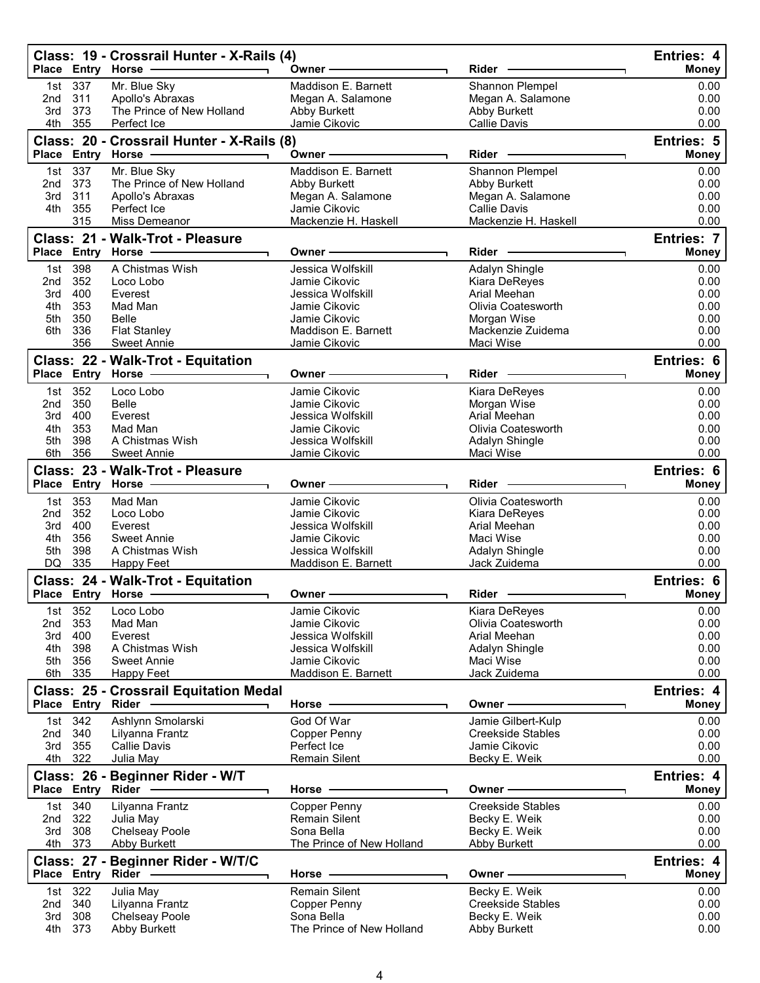|                 |                   | Class: 19 - Crossrail Hunter - X-Rails (4)<br>Place Entry Horse - | Owner-                                  | <b>Rider</b>                              | Entries: 4<br><b>Money</b>        |
|-----------------|-------------------|-------------------------------------------------------------------|-----------------------------------------|-------------------------------------------|-----------------------------------|
|                 | 1st 337           | Mr. Blue Sky                                                      | Maddison E. Barnett                     | Shannon Plempel                           | 0.00                              |
| 2nd             | 311               | Apollo's Abraxas                                                  | Megan A. Salamone                       | Megan A. Salamone                         | 0.00                              |
| 3rd             | 373               | The Prince of New Holland                                         | Abby Burkett                            | Abby Burkett                              | 0.00                              |
| 4th             | 355               | Perfect Ice                                                       | Jamie Cikovic                           | Callie Davis                              | 0.00                              |
|                 |                   | Class: 20 - Crossrail Hunter - X-Rails (8)<br>Place Entry Horse - | Owner-                                  | $Rider -$                                 | <b>Entries: 5</b><br><b>Money</b> |
|                 |                   |                                                                   |                                         |                                           |                                   |
| 1st<br>2nd      | 337<br>373        | Mr. Blue Sky<br>The Prince of New Holland                         | Maddison E. Barnett<br>Abby Burkett     | Shannon Plempel<br>Abby Burkett           | 0.00<br>0.00                      |
| 3rd             | 311               | Apollo's Abraxas                                                  | Megan A. Salamone                       | Megan A. Salamone                         | 0.00                              |
| 4th             | 355               | Perfect Ice                                                       | Jamie Cikovic                           | <b>Callie Davis</b>                       | 0.00                              |
|                 | 315               | Miss Demeanor                                                     | Mackenzie H. Haskell                    | Mackenzie H. Haskell                      | 0.00                              |
|                 |                   | Class: 21 - Walk-Trot - Pleasure                                  |                                         |                                           | <b>Entries: 7</b>                 |
|                 |                   | Place Entry Horse -                                               | Owner -                                 | Rider                                     | <b>Money</b>                      |
| 1st             | 398               | A Chistmas Wish                                                   | Jessica Wolfskill                       | Adalyn Shingle                            | 0.00                              |
| 2nd<br>3rd      | 352<br>400        | Loco Lobo<br>Everest                                              | Jamie Cikovic<br>Jessica Wolfskill      | Kiara DeReyes<br>Arial Meehan             | 0.00<br>0.00                      |
| 4th             | 353               | Mad Man                                                           | Jamie Cikovic                           | Olivia Coatesworth                        | 0.00                              |
| 5th             | 350               | Belle                                                             | Jamie Cikovic                           | Morgan Wise                               | 0.00                              |
| 6th             | 336               | <b>Flat Stanley</b>                                               | Maddison E. Barnett                     | Mackenzie Zuidema                         | 0.00                              |
|                 | 356               | <b>Sweet Annie</b>                                                | Jamie Cikovic                           | Maci Wise                                 | 0.00                              |
|                 |                   | Class: 22 - Walk-Trot - Equitation                                |                                         |                                           | Entries: 6                        |
|                 |                   | Place Entry Horse -                                               | Owner -                                 | Rider                                     | <b>Money</b>                      |
| 1st             | 352               | Loco Lobo                                                         | Jamie Cikovic                           | Kiara DeReyes                             | 0.00                              |
| 2nd             | 350               | <b>Belle</b>                                                      | Jamie Cikovic                           | Morgan Wise                               | 0.00                              |
| 3rd             | 400               | Everest                                                           | Jessica Wolfskill                       | Arial Meehan                              | 0.00                              |
| 4th             | 353               | Mad Man                                                           | Jamie Cikovic                           | Olivia Coatesworth                        | 0.00                              |
| 5th             | 398<br>356        | A Chistmas Wish                                                   | Jessica Wolfskill                       | Adalyn Shingle                            | 0.00<br>0.00                      |
| 6th             |                   | <b>Sweet Annie</b>                                                | Jamie Cikovic                           | Maci Wise                                 |                                   |
|                 |                   | Class: 23 - Walk-Trot - Pleasure<br>Place Entry Horse -           | Owner                                   | Rider                                     | <b>Entries: 6</b><br><b>Money</b> |
| 1st             | 353               | Mad Man                                                           | Jamie Cikovic                           | Olivia Coatesworth                        | 0.00                              |
| 2nd             | 352               | Loco Lobo                                                         | Jamie Cikovic                           | Kiara DeReyes                             | 0.00                              |
| 3rd             | 400               | Everest                                                           | Jessica Wolfskill                       | Arial Meehan                              | 0.00                              |
| 4th             | 356               | <b>Sweet Annie</b><br>A Chistmas Wish                             | Jamie Cikovic<br>Jessica Wolfskill      | Maci Wise                                 | 0.00                              |
| 5th<br>DQ       | 398<br>335        | <b>Happy Feet</b>                                                 | Maddison E. Barnett                     | Adalyn Shingle<br>Jack Zuidema            | 0.00<br>0.00                      |
|                 |                   |                                                                   |                                         |                                           | <b>Entries: 6</b>                 |
|                 |                   | Class: 24 - Walk-Trot - Equitation<br>Place Entry Horse -         | Owner-                                  | Rider                                     | <b>Money</b>                      |
|                 | 1st 352           | Loco Lobo                                                         | Jamie Cikovic                           | Kiara DeReyes                             | 0.00                              |
| 2 <sub>nd</sub> | 353               | Mad Man                                                           | Jamie Cikovic                           | Olivia Coatesworth                        | 0.00                              |
| 3rd             | 400               | Everest                                                           | Jessica Wolfskill                       | Arial Meehan                              | 0.00                              |
| 4th             | 398               | A Chistmas Wish                                                   | Jessica Wolfskill                       | Adalyn Shingle                            | 0.00                              |
| 5th             | 356               | <b>Sweet Annie</b>                                                | Jamie Cikovic                           | Maci Wise                                 | 0.00                              |
| 6th             | 335               | <b>Happy Feet</b>                                                 | Maddison E. Barnett                     | Jack Zuidema                              | 0.00                              |
|                 | Place Entry Rider | <b>Class: 25 - Crossrail Equitation Medal</b>                     | Horse                                   | <b>Owner</b>                              | Entries: 4<br><b>Money</b>        |
| 1st             | 342               | Ashlynn Smolarski                                                 | God Of War                              | Jamie Gilbert-Kulp                        | 0.00                              |
| 2nd             | 340               | Lilyanna Frantz                                                   | <b>Copper Penny</b>                     | <b>Creekside Stables</b>                  | 0.00                              |
| 3rd             | 355               | Callie Davis                                                      | Perfect Ice                             | Jamie Cikovic                             | 0.00                              |
| 4th             | 322               | Julia May                                                         | <b>Remain Silent</b>                    | Becky E. Weik                             | 0.00                              |
|                 |                   | Class: 26 - Beginner Rider - W/T                                  |                                         |                                           | Entries: 4                        |
|                 | Place Entry Rider |                                                                   | Horse                                   | Owner -                                   | Money                             |
| 1st             | 340               | Lilyanna Frantz                                                   | Copper Penny                            | <b>Creekside Stables</b>                  | 0.00                              |
| 2nd             | 322               | Julia May                                                         | <b>Remain Silent</b>                    | Becky E. Weik                             | 0.00                              |
| 3rd             | 308<br>4th 373    | <b>Chelseay Poole</b><br><b>Abby Burkett</b>                      | Sona Bella<br>The Prince of New Holland | Becky E. Weik<br>Abby Burkett             | 0.00<br>0.00                      |
|                 |                   |                                                                   |                                         |                                           |                                   |
|                 | Place Entry       | Class: 27 - Beginner Rider - W/T/C<br>Rider -                     | Horse                                   | <b>Owner</b>                              | Entries: 4<br><b>Money</b>        |
|                 |                   |                                                                   |                                         |                                           |                                   |
| 1st<br>2nd      | 322<br>340        | Julia May<br>Lilyanna Frantz                                      | <b>Remain Silent</b><br>Copper Penny    | Becky E. Weik<br><b>Creekside Stables</b> | 0.00<br>0.00                      |
| 3rd             | 308               | <b>Chelseay Poole</b>                                             | Sona Bella                              | Becky E. Weik                             | 0.00                              |
| 4th             | 373               | <b>Abby Burkett</b>                                               | The Prince of New Holland               | Abby Burkett                              | 0.00                              |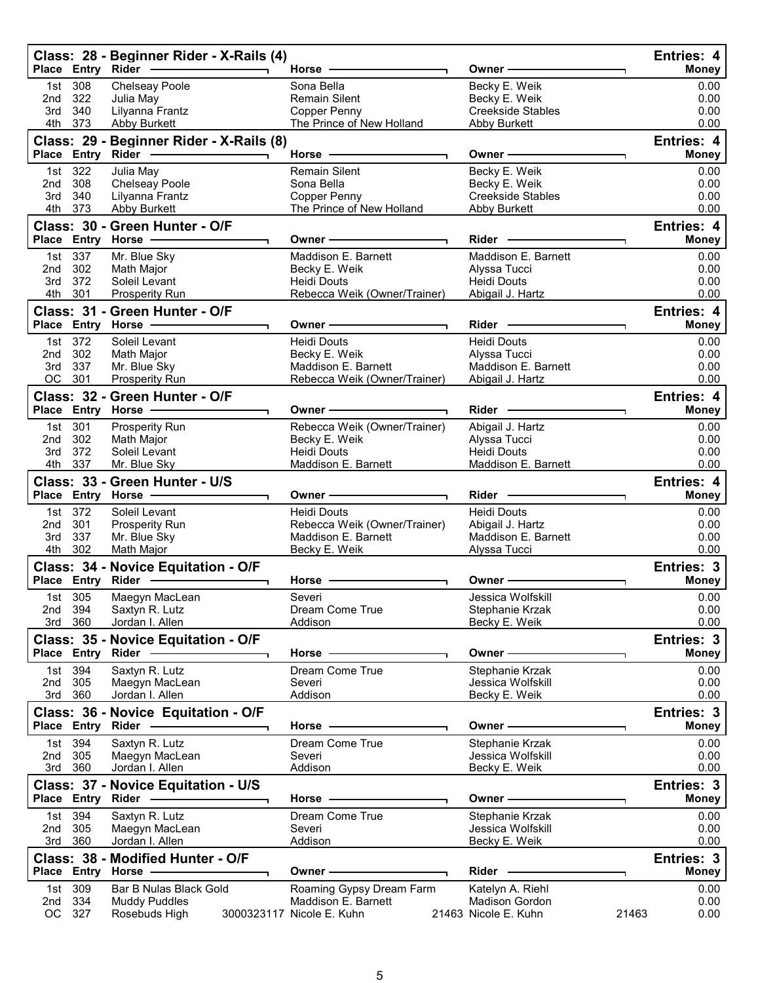|            |                    | Class: 28 - Beginner Rider - X-Rails (4)<br>Place Entry Rider -                                               | Horse $-$                                        | Owner-                                    |       | Entries: 4<br><b>Money</b> |
|------------|--------------------|---------------------------------------------------------------------------------------------------------------|--------------------------------------------------|-------------------------------------------|-------|----------------------------|
| 1st        | 308                | Chelseay Poole                                                                                                | Sona Bella                                       | Becky E. Weik                             |       | 0.00                       |
| 2nd<br>3rd | 322<br>340         | Julia May<br>Lilyanna Frantz                                                                                  | <b>Remain Silent</b><br><b>Copper Penny</b>      | Becky E. Weik<br><b>Creekside Stables</b> |       | 0.00<br>0.00               |
| 4th        | 373                | Abby Burkett                                                                                                  | The Prince of New Holland                        | Abby Burkett                              |       | 0.00                       |
|            | Place Entry        | Class: 29 - Beginner Rider - X-Rails (8)<br>Rider –––––––––––––                                               | Horse -                                          | Owner-                                    |       | Entries: 4<br><b>Money</b> |
|            | 1st 322            | Julia May                                                                                                     | <b>Remain Silent</b>                             | Becky E. Weik                             |       | 0.00                       |
| 2nd        | 308                | Chelseay Poole                                                                                                | Sona Bella                                       | Becky E. Weik                             |       | 0.00                       |
| 3rd        | 340<br>4th 373     | Lilyanna Frantz<br>Abby Burkett                                                                               | <b>Copper Penny</b><br>The Prince of New Holland | <b>Creekside Stables</b><br>Abby Burkett  |       | 0.00<br>0.00               |
|            |                    | Class: 30 - Green Hunter - O/F                                                                                |                                                  |                                           |       | Entries: 4                 |
|            |                    | Place Entry Horse - The Management of the Management of the Management of the Management of the Management of | Owner-                                           | Rider                                     |       | <b>Money</b>               |
|            | 1st 337            | Mr. Blue Sky                                                                                                  | Maddison E. Barnett                              | Maddison E. Barnett                       |       | 0.00                       |
| 2nd<br>3rd | 302<br>372         | Math Major<br>Soleil Levant                                                                                   | Becky E. Weik<br>Heidi Douts                     | Alyssa Tucci<br><b>Heidi Douts</b>        |       | 0.00<br>0.00               |
|            | 4th 301            | <b>Prosperity Run</b>                                                                                         | Rebecca Weik (Owner/Trainer)                     | Abigail J. Hartz                          |       | 0.00                       |
|            |                    | Class: 31 - Green Hunter - O/F                                                                                |                                                  |                                           |       | Entries: 4                 |
|            |                    | Place Entry Horse -                                                                                           | Owner-                                           | Rider -                                   |       | <b>Money</b>               |
|            | 1st 372<br>2nd 302 | Soleil Levant<br>Math Major                                                                                   | <b>Heidi Douts</b><br>Becky E. Weik              | <b>Heidi Douts</b><br>Alyssa Tucci        |       | 0.00<br>0.00               |
| 3rd        | 337                | Mr. Blue Sky                                                                                                  | Maddison E. Barnett                              | Maddison E. Barnett                       |       | 0.00                       |
|            | OC 301             | Prosperity Run                                                                                                | Rebecca Weik (Owner/Trainer)                     | Abigail J. Hartz                          |       | 0.00                       |
|            |                    | Class: 32 - Green Hunter - O/F                                                                                |                                                  |                                           |       | Entries: 4                 |
|            |                    | Place Entry Horse - The Manager                                                                               | Owner –                                          | Rider —                                   |       | <b>Money</b>               |
| 2nd        | 1st 301<br>302     | Prosperity Run<br>Math Major                                                                                  | Rebecca Weik (Owner/Trainer)<br>Becky E. Weik    | Abigail J. Hartz<br>Alyssa Tucci          |       | 0.00<br>0.00               |
| 3rd        | 372                | Soleil Levant                                                                                                 | <b>Heidi Douts</b>                               | <b>Heidi Douts</b>                        |       | 0.00                       |
|            | 4th 337            | Mr. Blue Sky                                                                                                  | Maddison E. Barnett                              | Maddison E. Barnett                       |       | 0.00                       |
|            |                    | Class: 33 - Green Hunter - U/S                                                                                |                                                  |                                           |       | Entries: 4                 |
|            | 1st 372            | Place Entry Horse ------------<br>Soleil Levant                                                               | Owner —<br><b>Heidi Douts</b>                    | Rider —<br><b>Heidi Douts</b>             |       | <b>Money</b><br>0.00       |
| 2nd        | 301                | <b>Prosperity Run</b>                                                                                         | Rebecca Weik (Owner/Trainer)                     | Abigail J. Hartz                          |       | 0.00                       |
| 3rd        | 337                | Mr. Blue Sky                                                                                                  | Maddison E. Barnett                              | Maddison E. Barnett                       |       | 0.00                       |
|            | 4th 302            | Math Major                                                                                                    | Becky E. Weik                                    | Alyssa Tucci                              |       | 0.00                       |
|            | Place Entry        | Class: 34 - Novice Equitation - O/F                                                                           | Horse -                                          | Owner -                                   |       | Entries: 3<br><b>Money</b> |
|            | 1st 305            | Maegyn MacLean                                                                                                | Severi                                           | Jessica Wolfskill                         |       | 0.00                       |
|            | 2nd 394            | Saxtyn R. Lutz                                                                                                | Dream Come True                                  | Stephanie Krzak                           |       | 0.00                       |
|            | 3rd 360            | Jordan I. Allen                                                                                               | Addison                                          | Becky E. Weik                             |       | 0.00                       |
|            |                    | Class: 35 - Novice Equitation - O/F                                                                           |                                                  |                                           |       | Entries: 3                 |
|            |                    | Place Entry Rider -                                                                                           | Horse                                            | Owner -                                   |       | Money                      |
|            | 1st 394<br>2nd 305 | Saxtyn R. Lutz<br>Maegyn MacLean                                                                              | Dream Come True<br>Severi                        | Stephanie Krzak<br>Jessica Wolfskill      |       | 0.00<br>0.00               |
|            | 3rd 360            | Jordan I. Allen                                                                                               | Addison                                          | Becky E. Weik                             |       | 0.00                       |
|            |                    | Class: 36 - Novice Equitation - O/F                                                                           |                                                  |                                           |       | Entries: 3                 |
|            |                    |                                                                                                               | Horse                                            | Owner -                                   |       | Money                      |
|            | 1st 394<br>2nd 305 | Saxtyn R. Lutz<br>Maegyn MacLean                                                                              | Dream Come True<br>Severi                        | Stephanie Krzak<br>Jessica Wolfskill      |       | 0.00<br>0.00               |
|            | 3rd 360            | Jordan I. Allen                                                                                               | Addison                                          | Becky E. Weik                             |       | 0.00                       |
|            |                    | Class: 37 - Novice Equitation - U/S                                                                           | Horse                                            | Owner -                                   |       | Entries: 3<br>Money        |
|            | 1st 394            | Saxtyn R. Lutz                                                                                                | Dream Come True                                  | Stephanie Krzak                           |       | 0.00                       |
|            | 2nd 305            | Maegyn MacLean                                                                                                | Severi                                           | Jessica Wolfskill                         |       | 0.00                       |
|            | 3rd 360            | Jordan I. Allen                                                                                               | Addison                                          | Becky E. Weik                             |       | 0.00                       |
|            |                    | Class: 38 - Modified Hunter - O/F                                                                             |                                                  |                                           |       | Entries: 3                 |
|            |                    | Place Entry Horse -                                                                                           | Owner ·                                          | Rider                                     |       | <b>Money</b>               |
| 2nd        | 1st 309<br>334     | Bar B Nulas Black Gold<br><b>Muddy Puddles</b>                                                                | Roaming Gypsy Dream Farm<br>Maddison E. Barnett  | Katelyn A. Riehl<br><b>Madison Gordon</b> |       | 0.00<br>0.00               |
| OC         | 327                | Rosebuds High                                                                                                 | 3000323117 Nicole E. Kuhn                        | 21463 Nicole E. Kuhn                      | 21463 | 0.00                       |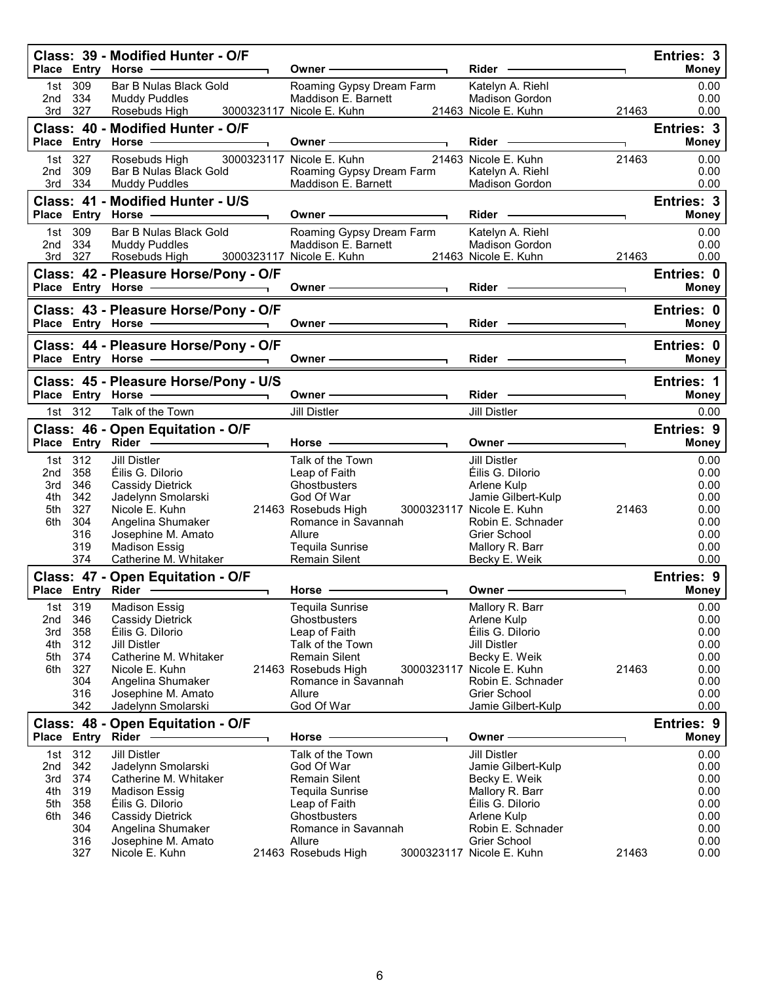|                   |                           | Class: 39 - Modified Hunter - O/F<br>Place Entry Horse -                                          | Owner-                                                                                        | Rider -                                                             | Entries: 3<br><b>Money</b> |
|-------------------|---------------------------|---------------------------------------------------------------------------------------------------|-----------------------------------------------------------------------------------------------|---------------------------------------------------------------------|----------------------------|
| 1st<br>2nd<br>3rd | 309<br>334<br>327         | Bar B Nulas Black Gold<br><b>Muddy Puddles</b><br>Rosebuds High                                   | Roaming Gypsy Dream Farm<br>Maddison E. Barnett<br>3000323117 Nicole E. Kuhn                  | Katelyn A. Riehl<br>Madison Gordon<br>21463 Nicole E. Kuhn<br>21463 | 0.00<br>0.00<br>0.00       |
|                   |                           | Class: 40 - Modified Hunter - O/F<br>Place Entry Horse -                                          | Owner –                                                                                       | Rider -                                                             | Entries: 3<br><b>Money</b> |
| 1st l<br>2nd      | 327<br>309<br>3rd 334     | Rosebuds High<br>Bar B Nulas Black Gold<br><b>Muddy Puddles</b>                                   | 3000323117 Nicole E. Kuhn<br>Roaming Gypsy Dream Farm<br>Maddison E. Barnett                  | 21463 Nicole E. Kuhn<br>21463<br>Katelyn A. Riehl<br>Madison Gordon | 0.00<br>0.00<br>0.00       |
|                   |                           | Class: 41 - Modified Hunter - U/S<br>Place Entry Horse -                                          | Owner —<br>$\overline{\phantom{0}}$                                                           | Rider —                                                             | Entries: 3<br><b>Money</b> |
| 2nd               | 1st 309<br>334<br>3rd 327 | Bar B Nulas Black Gold<br><b>Muddy Puddles</b><br>Rosebuds High                                   | Roaming Gypsy Dream Farm<br>Maddison E. Barnett<br>3000323117 Nicole E. Kuhn<br>$\frac{1}{2}$ | Katelyn A. Riehl<br>Madison Gordon<br>21463 Nicole E. Kuhn<br>21463 | 0.00<br>0.00<br>0.00       |
|                   |                           | Class: 42 - Pleasure Horse/Pony - O/F                                                             |                                                                                               |                                                                     | Entries: 0                 |
|                   |                           | Place Entry Horse -                                                                               | Owner $\longrightarrow$                                                                       | Rider -                                                             | <b>Money</b>               |
|                   |                           | Class: 43 - Pleasure Horse/Pony - O/F                                                             |                                                                                               |                                                                     | Entries: 0                 |
|                   |                           | Place Entry Horse - The Changes of the Changes of Theorem and Theorem<br>$\overline{\phantom{0}}$ | Owner -                                                                                       | Rider -                                                             | <b>Money</b>               |
|                   |                           | Class: 44 - Pleasure Horse/Pony - O/F<br>Place Entry Horse                                        | Owner —                                                                                       | Rider                                                               | Entries: 0<br><b>Money</b> |
|                   |                           | Class: 45 - Pleasure Horse/Pony - U/S                                                             |                                                                                               |                                                                     | Entries: 1                 |
|                   |                           | Place Entry Horse -<br>$\overline{\phantom{0}}$                                                   | Owner —                                                                                       | $Rider$ —                                                           | <b>Money</b>               |
|                   | 1st 312                   | Talk of the Town                                                                                  | <b>Jill Distler</b>                                                                           | Jill Distler                                                        | 0.00                       |
|                   |                           | Class: 46 - Open Equitation - O/F                                                                 |                                                                                               |                                                                     | Entries: 9                 |
|                   |                           | Place Entry Rider ------------                                                                    | Horse .                                                                                       | Owner-                                                              | <b>Money</b>               |
| 2 <sub>nd</sub>   | 1st 312<br>358            | <b>Jill Distler</b><br>Éilis G. Dilorio                                                           | Talk of the Town<br>Leap of Faith                                                             | <b>Jill Distler</b><br>Éilis G. Dilorio                             | 0.00<br>0.00               |
| 3rd               | 346                       | Cassidy Dietrick                                                                                  | <b>Ghostbusters</b>                                                                           | Arlene Kulp                                                         | 0.00                       |
| 4th               | 342                       | Jadelynn Smolarski                                                                                | God Of War                                                                                    | Jamie Gilbert-Kulp                                                  | 0.00                       |
| 5th               | 327                       | Nicole E. Kuhn                                                                                    | 21463 Rosebuds High                                                                           | 3000323117 Nicole E. Kuhn<br>21463                                  | 0.00                       |
| 6th               | 304<br>316                | Angelina Shumaker<br>Josephine M. Amato                                                           | Romance in Savannah<br>Allure                                                                 | Robin E. Schnader<br><b>Grier School</b>                            | 0.00<br>0.00               |
|                   | 319                       | <b>Madison Essig</b>                                                                              | Tequila Sunrise                                                                               | Mallory R. Barr                                                     | 0.00                       |
|                   | 374                       | Catherine M. Whitaker                                                                             | Remain Silent                                                                                 | Becky E. Weik                                                       | 0.00                       |
|                   |                           | Class: 47 - Open Equitation - O/F                                                                 |                                                                                               |                                                                     | <b>Entries: 9</b>          |
|                   |                           | Place Entry Rider -------------                                                                   | Horse                                                                                         | Owner                                                               | <b>Money</b>               |
| 1st               | 319                       | <b>Madison Essig</b>                                                                              | Tequila Sunrise                                                                               | Mallory R. Barr                                                     | 0.00                       |
| 2nd<br>3rd        | 346                       | Cassidy Dietrick<br>Éilis G. Dilorio                                                              | Ghostbusters                                                                                  | Arlene Kulp<br>Éilis G. Dilorio                                     | 0.00                       |
| 4th               | 358<br>312                | <b>Jill Distler</b>                                                                               | Leap of Faith<br>Talk of the Town                                                             | <b>Jill Distler</b>                                                 | 0.00<br>0.00               |
| 5th               | 374                       | Catherine M. Whitaker                                                                             | <b>Remain Silent</b>                                                                          | Becky E. Weik                                                       | 0.00                       |
| 6th               | 327                       | Nicole E. Kuhn                                                                                    | 21463 Rosebuds High                                                                           | 3000323117 Nicole E. Kuhn<br>21463                                  | 0.00                       |
|                   | 304<br>316                | Angelina Shumaker                                                                                 | Romance in Savannah<br>Allure                                                                 | Robin E. Schnader<br>Grier School                                   | 0.00<br>0.00               |
|                   | 342                       | Josephine M. Amato<br>Jadelynn Smolarski                                                          | God Of War                                                                                    | Jamie Gilbert-Kulp                                                  | 0.00                       |
|                   |                           | Class: 48 - Open Equitation - O/F                                                                 |                                                                                               |                                                                     | Entries: 9                 |
| <b>Place</b>      | <b>Entry Rider</b>        |                                                                                                   | Horse                                                                                         | Owner                                                               | Money                      |
| 1st               | 312                       | <b>Jill Distler</b>                                                                               | Talk of the Town                                                                              | <b>Jill Distler</b>                                                 | 0.00                       |
| 2nd               | 342                       | Jadelynn Smolarski                                                                                | God Of War                                                                                    | Jamie Gilbert-Kulp                                                  | 0.00                       |
| 3rd<br>4th        | 374<br>319                | Catherine M. Whitaker<br>Madison Essig                                                            | <b>Remain Silent</b><br>Tequila Sunrise                                                       | Becky E. Weik<br>Mallory R. Barr                                    | 0.00<br>0.00               |
| 5th               | 358                       | Éilis G. Dilorio                                                                                  | Leap of Faith                                                                                 | Éilis G. Dilorio                                                    | 0.00                       |
| 6th               | 346                       | Cassidy Dietrick                                                                                  | Ghostbusters                                                                                  | Arlene Kulp                                                         | 0.00                       |
|                   | 304<br>316                | Angelina Shumaker                                                                                 | Romance in Savannah<br>Allure                                                                 | Robin E. Schnader<br>Grier School                                   | 0.00                       |
|                   | 327                       | Josephine M. Amato<br>Nicole E. Kuhn                                                              | 21463 Rosebuds High                                                                           | 3000323117 Nicole E. Kuhn<br>21463                                  | 0.00<br>0.00               |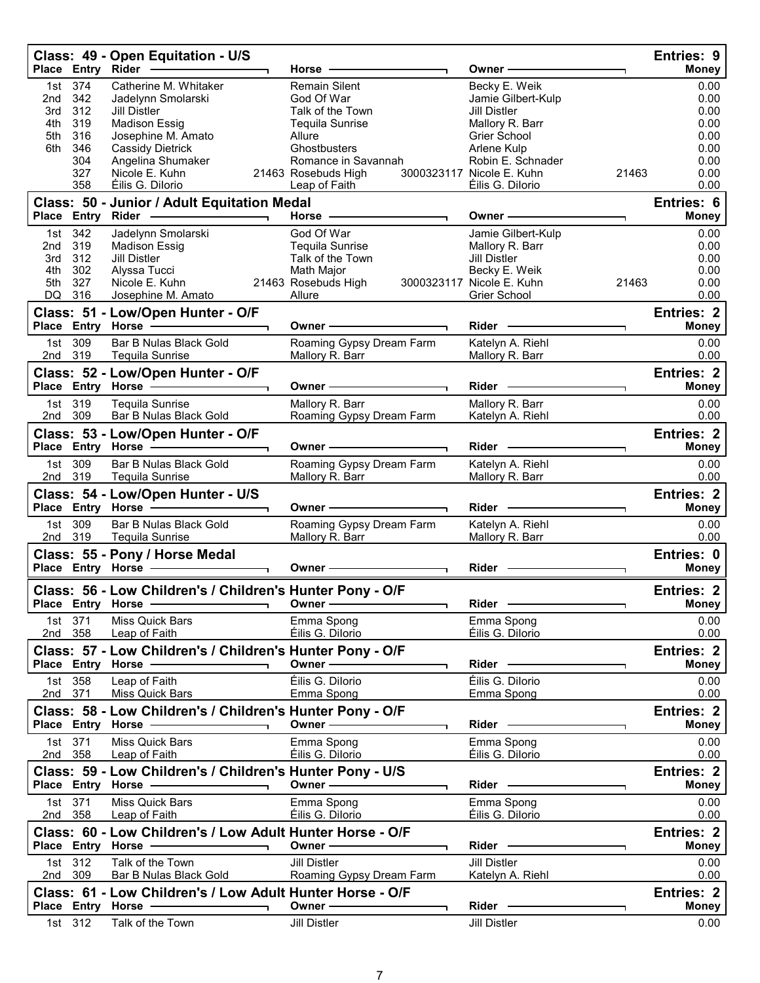|            |                    | Class: 49 - Open Equitation - U/S                                                                                                                                                                                                                                             | Horse -                                                                                                                                                                                                                        | Owner -                                                                                                                                                                                                                        | Entries: 9<br><b>Money</b>      |
|------------|--------------------|-------------------------------------------------------------------------------------------------------------------------------------------------------------------------------------------------------------------------------------------------------------------------------|--------------------------------------------------------------------------------------------------------------------------------------------------------------------------------------------------------------------------------|--------------------------------------------------------------------------------------------------------------------------------------------------------------------------------------------------------------------------------|---------------------------------|
|            | 1st 374            | Catherine M. Whitaker                                                                                                                                                                                                                                                         | <b>Remain Silent</b>                                                                                                                                                                                                           | Becky E. Weik                                                                                                                                                                                                                  | 0.00                            |
| 2nd        | 342                | Jadelynn Smolarski                                                                                                                                                                                                                                                            | God Of War                                                                                                                                                                                                                     | Jamie Gilbert-Kulp                                                                                                                                                                                                             | 0.00                            |
| 3rd        | 312                | Jill Distler                                                                                                                                                                                                                                                                  | Talk of the Town                                                                                                                                                                                                               | <b>Jill Distler</b>                                                                                                                                                                                                            | 0.00                            |
| 4th<br>5th | 319<br>316         | <b>Madison Essig</b><br>Josephine M. Amato                                                                                                                                                                                                                                    | Tequila Sunrise<br>Allure                                                                                                                                                                                                      | Mallory R. Barr<br><b>Grier School</b>                                                                                                                                                                                         | 0.00<br>0.00                    |
| 6th        | 346                | <b>Cassidy Dietrick</b>                                                                                                                                                                                                                                                       | Ghostbusters                                                                                                                                                                                                                   | Arlene Kulp                                                                                                                                                                                                                    | 0.00                            |
|            | 304                | Angelina Shumaker                                                                                                                                                                                                                                                             | Romance in Savannah                                                                                                                                                                                                            | Robin E. Schnader                                                                                                                                                                                                              | 0.00                            |
|            | 327                | Nicole E. Kuhn                                                                                                                                                                                                                                                                | 21463 Rosebuds High                                                                                                                                                                                                            | 3000323117 Nicole E. Kuhn                                                                                                                                                                                                      | 0.00<br>21463                   |
|            | 358                | Éilis G. Dilorio                                                                                                                                                                                                                                                              | Leap of Faith <b>Container the Container Separate Section</b>                                                                                                                                                                  | Éilis G. Dilorio                                                                                                                                                                                                               | 0.00                            |
|            |                    | Class: 50 - Junior / Adult Equitation Medal<br>Place Entry Rider - and the control of the state of the state of the state of the state of the state of the state of the state of the state of the state of the state of the state of the state of the state of the state of t | Horse - The Management of the Management of the Management of the Management of the Management of the Management of the Management of the Management of the Management of the Management of the Management of the Management o | Owner —————                                                                                                                                                                                                                    | Entries: 6<br><b>Money</b><br>┑ |
|            | 1st 342            | Jadelynn Smolarski                                                                                                                                                                                                                                                            | God Of War                                                                                                                                                                                                                     | Jamie Gilbert-Kulp                                                                                                                                                                                                             | 0.00                            |
| 2nd 319    |                    | Madison Essig                                                                                                                                                                                                                                                                 | Tequila Sunrise                                                                                                                                                                                                                | Mallory R. Barr                                                                                                                                                                                                                | 0.00                            |
| 3rd        | 312                | Jill Distler                                                                                                                                                                                                                                                                  | Talk of the Town                                                                                                                                                                                                               | <b>Jill Distler</b>                                                                                                                                                                                                            | 0.00                            |
| 5th        | 4th 302<br>327     | Alyssa Tucci<br>Nicole E. Kuhn                                                                                                                                                                                                                                                | Math Major<br>21463 Rosebuds High                                                                                                                                                                                              | Becky E. Weik<br>3000323117 Nicole E. Kuhn                                                                                                                                                                                     | 0.00<br>21463<br>0.00           |
|            | DQ 316             | Josephine M. Amato                                                                                                                                                                                                                                                            |                                                                                                                                                                                                                                | Grier School                                                                                                                                                                                                                   | 0.00                            |
|            |                    | Class: 51 - Low/Open Hunter - O/F                                                                                                                                                                                                                                             |                                                                                                                                                                                                                                |                                                                                                                                                                                                                                | <b>Entries: 2</b>               |
|            |                    | Place Entry Horse - 2000                                                                                                                                                                                                                                                      | Owner $\overline{\qquad \qquad }$                                                                                                                                                                                              | Rider -                                                                                                                                                                                                                        | <b>Money</b>                    |
| 2nd 319    | 1st 309            | Bar B Nulas Black Gold<br>Tequila Sunrise                                                                                                                                                                                                                                     | Roaming Gypsy Dream Farm<br>Mallory R. Barr New York 1995                                                                                                                                                                      | Katelyn A. Riehl<br>Mallory R. Barr                                                                                                                                                                                            | 0.00<br>0.00                    |
|            |                    | Class: 52 - Low/Open Hunter - O/F                                                                                                                                                                                                                                             |                                                                                                                                                                                                                                |                                                                                                                                                                                                                                | Entries: 2                      |
|            |                    | Place Entry Horse - All Annual Place And All Annual Place of All Annual Place of All Annual Place of All Annual Place of All Annual Place of All Annual Place of All Annual Place of All Annual Place of All Annual Place of A                                                | Owner - The Commission of the Commission of the Commission of the Commission of the Commission of the Commission of the Commission of the Commission of the Commission of the Commission of the Commission of the Commission o | Rider -                                                                                                                                                                                                                        | <b>Money</b>                    |
|            | 1st 319            | <b>Tequila Sunrise</b>                                                                                                                                                                                                                                                        | Mallory R. Barr                                                                                                                                                                                                                | Mallory R. Barr                                                                                                                                                                                                                | 0.00                            |
| 2nd 309    |                    | Bar B Nulas Black Gold                                                                                                                                                                                                                                                        | Roaming Gypsy Dream Farm                                                                                                                                                                                                       | Katelyn A. Riehl                                                                                                                                                                                                               | 0.00                            |
|            |                    | Class: 53 - Low/Open Hunter - O/F                                                                                                                                                                                                                                             |                                                                                                                                                                                                                                |                                                                                                                                                                                                                                | <b>Entries: 2</b>               |
|            |                    |                                                                                                                                                                                                                                                                               | Owner ————————                                                                                                                                                                                                                 |                                                                                                                                                                                                                                | <b>Money</b><br>┑               |
| 2nd 319    | 1st 309            | Bar B Nulas Black Gold<br>Tequila Sunrise                                                                                                                                                                                                                                     | Roaming Gypsy Dream Farm<br>Mallory R. Barr [19]                                                                                                                                                                               | Katelyn A. Riehl<br>Mallory R. Barr                                                                                                                                                                                            | 0.00<br>0.00                    |
|            |                    | Class: 54 - Low/Open Hunter - U/S                                                                                                                                                                                                                                             |                                                                                                                                                                                                                                |                                                                                                                                                                                                                                | <b>Entries: 2</b>               |
|            |                    | Place Entry Horse - and Discounts and Discounts and Place                                                                                                                                                                                                                     | Owner - The Common Common Common Common Common Common Common Common Common Common Common Common Common Common Common Common Common Common Common Common Common Common Common Common Common Common Common Common Common Common  |                                                                                                                                                                                                                                | <b>Money</b><br>┑.              |
|            | 1st 309            | Bar B Nulas Black Gold                                                                                                                                                                                                                                                        | Roaming Gypsy Dream Farm                                                                                                                                                                                                       | Katelyn A. Riehl                                                                                                                                                                                                               | 0.00                            |
| 2nd 319    |                    | Tequila Sunrise                                                                                                                                                                                                                                                               | Mallory R. Barr <b>Mallon</b>                                                                                                                                                                                                  | Mallory R. Barr                                                                                                                                                                                                                | 0.00                            |
|            |                    | Class: 55 - Pony / Horse Medal                                                                                                                                                                                                                                                | Owner-                                                                                                                                                                                                                         |                                                                                                                                                                                                                                | Entries: 0                      |
|            |                    |                                                                                                                                                                                                                                                                               | $\overline{\phantom{0}}$                                                                                                                                                                                                       | Rider -                                                                                                                                                                                                                        | <b>Money</b>                    |
|            |                    | Class: 56 - Low Children's / Children's Hunter Pony - O/F<br>Place Entry Horse ——————                                                                                                                                                                                         | Owner $\qquad$                                                                                                                                                                                                                 | $Rider \nightharpoonup$                                                                                                                                                                                                        | <b>Entries: 2</b><br>Money      |
|            | 1st 371            | Miss Quick Bars <b>Miss</b>                                                                                                                                                                                                                                                   | Emma Spong                                                                                                                                                                                                                     | Emma Spong                                                                                                                                                                                                                     | 0.00                            |
| 2nd 358    |                    | Leap of Faith                                                                                                                                                                                                                                                                 | Éilis G. Dilorio                                                                                                                                                                                                               | Éilis G. Dilorio                                                                                                                                                                                                               | 0.00                            |
|            |                    | Class: 57 - Low Children's / Children's Hunter Pony - O/F                                                                                                                                                                                                                     |                                                                                                                                                                                                                                |                                                                                                                                                                                                                                | Entries: 2                      |
|            |                    | the control of the control of the control of                                                                                                                                                                                                                                  | Owner $\longrightarrow$                                                                                                                                                                                                        | Rider - The Management of the Management of the Management of the Management of the Management of the Management of the Management of the Management of the Management of the Management of the Management of the Management o | <b>Money</b>                    |
|            | 1st 358<br>2nd 371 | Leap of Faith<br>Miss Quick Bars <b>Miss</b>                                                                                                                                                                                                                                  | Éilis G. Dilorio<br>Emma Spong                                                                                                                                                                                                 | Éilis G. Dilorio<br>Emma Spong                                                                                                                                                                                                 | 0.00<br>0.00                    |
|            |                    | Class: 58 - Low Children's / Children's Hunter Pony - O/F                                                                                                                                                                                                                     |                                                                                                                                                                                                                                |                                                                                                                                                                                                                                | Entries: 2                      |
|            |                    | Place Entry Horse                                                                                                                                                                                                                                                             | Owner ——————————                                                                                                                                                                                                               |                                                                                                                                                                                                                                | Money                           |
|            | 1st 371            | Miss Quick Bars                                                                                                                                                                                                                                                               | Emma Spong                                                                                                                                                                                                                     | Emma Spong                                                                                                                                                                                                                     | 0.00                            |
|            |                    | 2nd 358 Leap of Faith                                                                                                                                                                                                                                                         | Éilis G. Dilorio                                                                                                                                                                                                               | Éilis G. Dilorio                                                                                                                                                                                                               | 0.00                            |
|            |                    | Class: 59 - Low Children's / Children's Hunter Pony - U/S                                                                                                                                                                                                                     |                                                                                                                                                                                                                                |                                                                                                                                                                                                                                | Entries: 2                      |
|            |                    | Place Entry Horse - 1999                                                                                                                                                                                                                                                      | Owner ———————                                                                                                                                                                                                                  | Rider —————                                                                                                                                                                                                                    | <b>Money</b>                    |
|            | 1st 371            | Miss Quick Bars<br>2nd 358 Leap of Faith                                                                                                                                                                                                                                      | Emma Spong<br>Éilis G. Dilorio                                                                                                                                                                                                 | Emma Spong<br>Éilis G. Dilorio                                                                                                                                                                                                 | 0.00<br>0.00                    |
|            |                    | Class: 60 - Low Children's / Low Adult Hunter Horse - O/F                                                                                                                                                                                                                     |                                                                                                                                                                                                                                |                                                                                                                                                                                                                                | Entries: 2                      |
|            |                    | Place Entry Horse - and Discount of Place Entry Horse                                                                                                                                                                                                                         | Owner ——————                                                                                                                                                                                                                   | Rider ————                                                                                                                                                                                                                     | Money                           |
|            | 1st 312            | Talk of the Town                                                                                                                                                                                                                                                              | <b>Jill Distler</b>                                                                                                                                                                                                            | <b>Jill Distler</b>                                                                                                                                                                                                            | 0.00                            |
|            | 2nd 309            | Bar B Nulas Black Gold                                                                                                                                                                                                                                                        | Roaming Gypsy Dream Farm                                                                                                                                                                                                       | Katelyn A. Riehl                                                                                                                                                                                                               | 0.00                            |
|            |                    | Class: 61 - Low Children's / Low Adult Hunter Horse - O/F                                                                                                                                                                                                                     |                                                                                                                                                                                                                                |                                                                                                                                                                                                                                | Entries: 2                      |
|            |                    | Place Entry Horse - and Discount of the Place Entry Horse                                                                                                                                                                                                                     | Owner –––––––––––––                                                                                                                                                                                                            | Rider —                                                                                                                                                                                                                        | <b>Money</b>                    |
|            | 1st 312            | Talk of the Town                                                                                                                                                                                                                                                              | Jill Distler                                                                                                                                                                                                                   | Jill Distler                                                                                                                                                                                                                   | 0.00                            |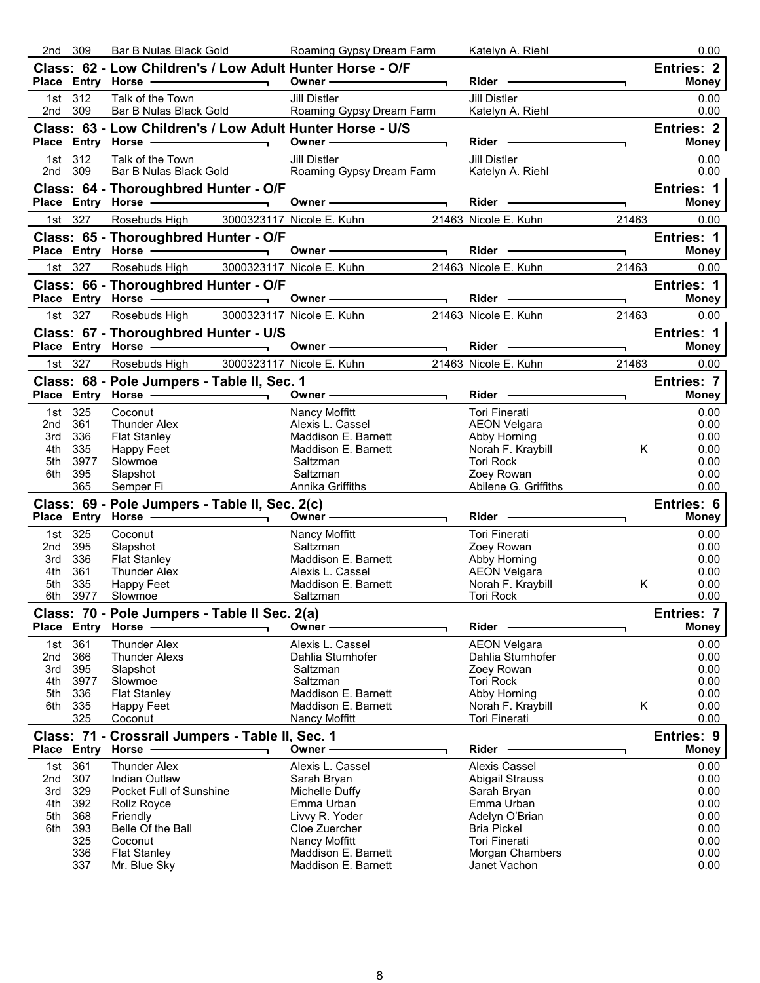|            | 309         | Bar B Nulas Black Gold                                                                                                                                                                                                         | Roaming Gypsy Dream Farm             | Katelyn A. Riehl                        |             | 0.00                              |
|------------|-------------|--------------------------------------------------------------------------------------------------------------------------------------------------------------------------------------------------------------------------------|--------------------------------------|-----------------------------------------|-------------|-----------------------------------|
|            |             | Class: 62 - Low Children's / Low Adult Hunter Horse - O/F                                                                                                                                                                      | Owner -                              | Rider -                                 |             | Entries: 2<br><b>Money</b>        |
|            | 1st 312     | Talk of the Town                                                                                                                                                                                                               | <b>Jill Distler</b>                  | <b>Jill Distler</b>                     |             | 0.00                              |
| 2nd        | 309         | Bar B Nulas Black Gold                                                                                                                                                                                                         | Roaming Gypsy Dream Farm             | Katelyn A. Riehl                        |             | 0.00                              |
|            |             | Class: 63 - Low Children's / Low Adult Hunter Horse - U/S<br>Place Entry Horse -                                                                                                                                               | Owner-                               | Rider -                                 |             | <b>Entries: 2</b><br><b>Money</b> |
|            | 1st 312     | Talk of the Town                                                                                                                                                                                                               | <b>Jill Distler</b>                  | <b>Jill Distler</b>                     |             | 0.00                              |
| 2nd 309    |             | Bar B Nulas Black Gold                                                                                                                                                                                                         | Roaming Gypsy Dream Farm             | Katelyn A. Riehl                        |             | 0.00                              |
|            |             | Class: 64 - Thoroughbred Hunter - O/F<br>Place Entry Horse -                                                                                                                                                                   | Owner -                              | Rider -                                 |             | <b>Entries: 1</b><br><b>Money</b> |
|            | 1st 327     | Rosebuds High 3000323117 Nicole E. Kuhn                                                                                                                                                                                        |                                      | 21463 Nicole E. Kuhn                    | E.<br>21463 | 0.00                              |
|            |             | Class: 65 - Thoroughbred Hunter - O/F                                                                                                                                                                                          |                                      |                                         |             | Entries: 1                        |
|            |             | Place Entry Horse - and the manufacturer                                                                                                                                                                                       | Owner $-$<br>$\blacksquare$          | $Rider -$                               | T.          | <b>Money</b>                      |
|            | 1st 327     | Rosebuds High                                                                                                                                                                                                                  | 3000323117 Nicole E. Kuhn            | 21463 Nicole E. Kuhn                    | 21463       | 0.00                              |
|            |             | Class: 66 - Thoroughbred Hunter - O/F                                                                                                                                                                                          |                                      |                                         |             | <b>Entries: 1</b>                 |
|            |             | Place Entry Horse - and the control of the state of the state of the state of the state of the state of the state of the state of the state of the state of the state of the state of the state of the state of the state of t | Owner-                               | Rider                                   | ٦           | <b>Money</b>                      |
|            | 1st 327     | Rosebuds High                                                                                                                                                                                                                  | 3000323117 Nicole E. Kuhn            | 21463 Nicole E. Kuhn                    | 21463       | 0.00                              |
|            |             | Class: 67 - Thoroughbred Hunter - U/S                                                                                                                                                                                          |                                      |                                         |             | Entries: 1                        |
|            |             | Place Entry Horse ————————————————————                                                                                                                                                                                         | Owner -                              | Rider -                                 |             | <b>Money</b>                      |
|            | 1st 327     | Rosebuds High                                                                                                                                                                                                                  | 3000323117 Nicole E. Kuhn            | 21463 Nicole E. Kuhn                    | 21463       | 0.00                              |
|            |             | Class: 68 - Pole Jumpers - Table II, Sec. 1<br>Place Entry Horse -                                                                                                                                                             | Owner -                              | $Rider -$                               |             | Entries: 7<br><b>Money</b>        |
| 1st        | 325         | Coconut                                                                                                                                                                                                                        | Nancy Moffitt                        | <b>Tori Finerati</b>                    |             | 0.00                              |
| 2nd        | 361         | <b>Thunder Alex</b>                                                                                                                                                                                                            | Alexis L. Cassel                     | <b>AEON Velgara</b>                     |             | 0.00                              |
| 3rd        | 336         | <b>Flat Stanley</b>                                                                                                                                                                                                            | Maddison E. Barnett                  | Abby Horning                            |             | 0.00                              |
| 4th        | 335         | Happy Feet                                                                                                                                                                                                                     | Maddison E. Barnett                  | Norah F. Kraybill                       | Κ           | 0.00                              |
| 5th        | 3977        | Slowmoe                                                                                                                                                                                                                        | Saltzman                             | <b>Tori Rock</b>                        |             | 0.00                              |
|            |             |                                                                                                                                                                                                                                |                                      |                                         |             |                                   |
| 6th        | 395<br>365  | Slapshot<br>Semper Fi                                                                                                                                                                                                          | Saltzman<br>Annika Griffiths         | Zoey Rowan<br>Abilene G. Griffiths      |             | 0.00<br>0.00                      |
|            |             | Class: 69 - Pole Jumpers - Table II, Sec. 2(c)                                                                                                                                                                                 |                                      |                                         |             | Entries: 6                        |
|            |             |                                                                                                                                                                                                                                | Owner ————                           | <b>Rider</b>                            |             | <b>Money</b>                      |
|            | 1st 325     | Coconut                                                                                                                                                                                                                        | Nancy Moffitt                        | Tori Finerati                           |             | 0.00                              |
| 2nd        | 395         | Slapshot                                                                                                                                                                                                                       | Saltzman                             | Zoey Rowan                              |             | 0.00                              |
| 3rd        | 336         | <b>Flat Stanley</b>                                                                                                                                                                                                            | Maddison E. Barnett                  | Abby Horning                            |             | 0.00                              |
| 4th        | 361         | <b>Thunder Alex</b>                                                                                                                                                                                                            | Alexis L. Cassel                     | <b>AEON Velgara</b>                     |             | 0.00                              |
| 5th<br>6th | 335<br>3977 | Happy Feet<br>Slowmoe                                                                                                                                                                                                          | Maddison E. Barnett<br>Saltzman      | Norah F. Kraybill<br><b>Tori Rock</b>   | K.          | 0.00<br>0.00                      |
|            |             | Class: 70 - Pole Jumpers - Table II Sec. 2(a)                                                                                                                                                                                  |                                      |                                         |             | Entries: 7                        |
|            |             | Place Entry Horse                                                                                                                                                                                                              | Owner -                              | Rider                                   |             | <b>Money</b>                      |
| 1st        | 361         | <b>Thunder Alex</b>                                                                                                                                                                                                            | Alexis L. Cassel                     | <b>AEON Velgara</b>                     |             | 0.00                              |
| 2nd        | 366         | <b>Thunder Alexs</b>                                                                                                                                                                                                           | Dahlia Stumhofer                     | Dahlia Stumhofer                        |             | 0.00                              |
| 3rd        | 395         | Slapshot                                                                                                                                                                                                                       | Saltzman                             | Zoey Rowan                              |             | 0.00                              |
| 4th<br>5th | 3977<br>336 | Slowmoe<br><b>Flat Stanley</b>                                                                                                                                                                                                 | Saltzman<br>Maddison E. Barnett      | <b>Tori Rock</b><br>Abby Horning        |             | 0.00<br>0.00                      |
| 6th        | 335         | <b>Happy Feet</b>                                                                                                                                                                                                              | Maddison E. Barnett                  | Norah F. Kraybill                       | Κ           | 0.00                              |
|            | 325         | Coconut                                                                                                                                                                                                                        | Nancy Moffitt                        | Tori Finerati                           |             | 0.00                              |
|            |             | Class: 71 - Crossrail Jumpers - Table II, Sec. 1                                                                                                                                                                               |                                      |                                         |             | Entries: 9                        |
|            |             | Place Entry Horse                                                                                                                                                                                                              | Owner -                              | <b>Rider</b>                            |             | <b>Money</b>                      |
| 1st<br>2nd | 361<br>307  | <b>Thunder Alex</b><br>Indian Outlaw                                                                                                                                                                                           | Alexis L. Cassel<br>Sarah Bryan      | Alexis Cassel                           |             | 0.00<br>0.00                      |
| 3rd        | 329         | Pocket Full of Sunshine                                                                                                                                                                                                        | Michelle Duffy                       | <b>Abigail Strauss</b><br>Sarah Bryan   |             | 0.00                              |
| 4th        | 392         | Rollz Royce                                                                                                                                                                                                                    | Emma Urban                           | Emma Urban                              |             | 0.00                              |
| 5th        | 368         | Friendly                                                                                                                                                                                                                       | Livvy R. Yoder                       | Adelyn O'Brian                          |             | 0.00                              |
| 6th        | 393         | Belle Of the Ball                                                                                                                                                                                                              | Cloe Zuercher                        | <b>Bria Pickel</b>                      |             | 0.00                              |
|            | 325<br>336  | Coconut<br><b>Flat Stanley</b>                                                                                                                                                                                                 | Nancy Moffitt<br>Maddison E. Barnett | <b>Tori Finerati</b><br>Morgan Chambers |             | 0.00<br>0.00                      |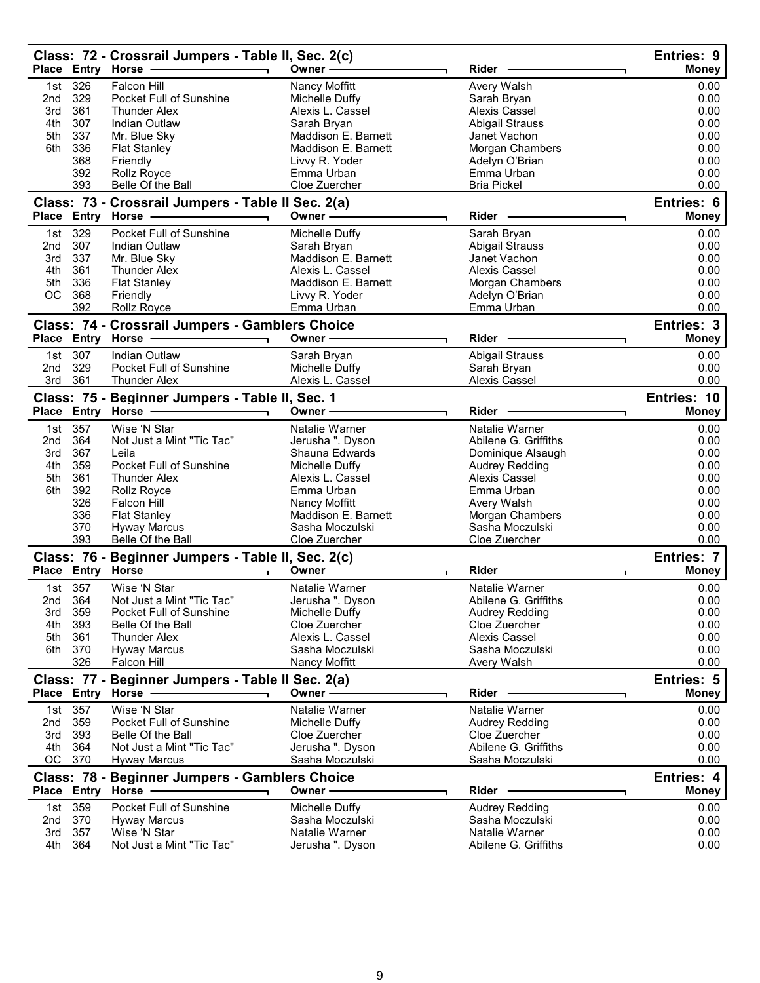|            |                   | Class: 72 - Crossrail Jumpers - Table II, Sec. 2(c)<br>Place Entry Horse - | Owner -                              | Rider                             | Entries: 9<br><b>Money</b> |
|------------|-------------------|----------------------------------------------------------------------------|--------------------------------------|-----------------------------------|----------------------------|
|            |                   |                                                                            |                                      |                                   |                            |
| 1st<br>2nd | 326<br>329        | <b>Falcon Hill</b><br>Pocket Full of Sunshine                              | Nancy Moffitt<br>Michelle Duffy      | Avery Walsh<br>Sarah Bryan        | 0.00<br>0.00               |
| 3rd        | 361               | <b>Thunder Alex</b>                                                        | Alexis L. Cassel                     | Alexis Cassel                     | 0.00                       |
| 4th        | 307               | Indian Outlaw                                                              | Sarah Bryan                          | <b>Abigail Strauss</b>            | 0.00                       |
| 5th        | 337               | Mr. Blue Sky                                                               | Maddison E. Barnett                  | Janet Vachon                      | 0.00                       |
| 6th        | 336               | <b>Flat Stanley</b>                                                        | Maddison E. Barnett                  | Morgan Chambers                   | 0.00                       |
|            | 368               | Friendly                                                                   | Livvy R. Yoder                       | Adelyn O'Brian                    | 0.00                       |
|            | 392               | Rollz Royce                                                                | Emma Urban                           | Emma Urban                        | 0.00                       |
|            | 393               | Belle Of the Ball                                                          | Cloe Zuercher                        | <b>Bria Pickel</b>                | 0.00                       |
|            |                   | Class: 73 - Crossrail Jumpers - Table II Sec. 2(a)                         |                                      |                                   | Entries: 6                 |
|            | Place Entry Horse |                                                                            | Owner-                               | Rider -                           | <b>Money</b>               |
| 1st        | 329               | <b>Pocket Full of Sunshine</b>                                             | Michelle Duffy                       | Sarah Bryan                       | 0.00                       |
| 2nd        | 307               | Indian Outlaw                                                              | Sarah Bryan                          | <b>Abigail Strauss</b>            | 0.00                       |
| 3rd        | 337               | Mr. Blue Sky                                                               | Maddison E. Barnett                  | Janet Vachon                      | 0.00                       |
| 4th        | 361               | <b>Thunder Alex</b>                                                        | Alexis L. Cassel                     | Alexis Cassel                     | 0.00                       |
| 5th        | 336               | <b>Flat Stanley</b>                                                        | Maddison E. Barnett                  | Morgan Chambers                   | 0.00                       |
| ОC         | 368               | Friendly                                                                   | Livvy R. Yoder                       | Adelyn O'Brian                    | 0.00                       |
|            | 392               | Rollz Royce                                                                | Emma Urban                           | Emma Urban                        | 0.00                       |
|            |                   | Class: 74 - Crossrail Jumpers - Gamblers Choice<br>Place Entry Horse -     | Owner-                               | Rider                             | Entries: 3<br><b>Money</b> |
|            |                   |                                                                            |                                      |                                   |                            |
|            | 1st 307           | <b>Indian Outlaw</b>                                                       | Sarah Bryan                          | <b>Abigail Strauss</b>            | 0.00                       |
| 2nd        | 329               | Pocket Full of Sunshine                                                    | Michelle Duffy<br>Alexis L. Cassel   | Sarah Bryan                       | 0.00                       |
| 3rd        | 361               | <b>Thunder Alex</b>                                                        |                                      | Alexis Cassel                     | 0.00                       |
|            |                   | Class: 75 - Beginner Jumpers - Table II, Sec. 1                            |                                      |                                   | Entries: 10                |
|            |                   | Place Entry Horse -                                                        | Owner-                               | Rider                             | <b>Money</b>               |
| 1st        | 357               | Wise 'N Star                                                               | Natalie Warner                       | Natalie Warner                    | 0.00                       |
| 2nd        | 364               | Not Just a Mint "Tic Tac"                                                  | Jerusha ". Dyson                     | Abilene G. Griffiths              | 0.00                       |
| 3rd        | 367               | Leila                                                                      | Shauna Edwards                       | Dominique Alsaugh                 | 0.00                       |
| 4th        | 359               | Pocket Full of Sunshine                                                    | Michelle Duffy                       | <b>Audrey Redding</b>             | 0.00                       |
| 5th        | 361               | <b>Thunder Alex</b>                                                        | Alexis L. Cassel                     | Alexis Cassel                     | 0.00                       |
| 6th        | 392               | Rollz Royce                                                                | Emma Urban                           | Emma Urban                        | 0.00                       |
|            | 326<br>336        | Falcon Hill<br><b>Flat Stanley</b>                                         | Nancy Moffitt<br>Maddison E. Barnett | Avery Walsh<br>Morgan Chambers    | 0.00<br>0.00               |
|            | 370               | <b>Hyway Marcus</b>                                                        | Sasha Moczulski                      | Sasha Moczulski                   | 0.00                       |
|            | 393               | Belle Of the Ball                                                          | Cloe Zuercher                        | Cloe Zuercher                     | 0.00                       |
|            |                   | Class: 76 - Beginner Jumpers - Table II, Sec. 2(c)                         |                                      |                                   | Entries: 7                 |
|            |                   | Place Entry Horse -                                                        | Owner-                               | Rider                             | <b>Money</b>               |
|            | 1st 357           | Wise 'N Star                                                               | Natalie Warner                       | Natalie Warner                    | 0.00                       |
| 2nd        | 364               | Not Just a Mint "Tic Tac"                                                  | Jerusha ". Dyson                     | Abilene G. Griffiths              | 0.00                       |
| 3rd        | 359               | <b>Pocket Full of Sunshine</b>                                             | Michelle Duffy                       | <b>Audrey Redding</b>             | 0.00                       |
| 4th        | 393               | Belle Of the Ball                                                          | Cloe Zuercher                        | Cloe Zuercher                     | 0.00                       |
| 5th        | 361               | <b>Thunder Alex</b>                                                        | Alexis L. Cassel                     | Alexis Cassel                     | 0.00                       |
|            | 6th 370           | <b>Hyway Marcus</b>                                                        | Sasha Moczulski                      | Sasha Moczulski                   | 0.00                       |
|            | 326               | Falcon Hill                                                                | Nancy Moffitt                        | Avery Walsh                       | 0.00                       |
|            |                   | Class: 77 - Beginner Jumpers - Table II Sec. 2(a)                          |                                      |                                   | Entries: 5                 |
|            | Place Entry       | <b>Horse</b>                                                               | Owner-                               | <b>Rider</b>                      | Money                      |
|            | 1st 357           | Wise 'N Star                                                               | Natalie Warner                       | Natalie Warner                    | 0.00                       |
| 2nd        | 359               | Pocket Full of Sunshine                                                    | Michelle Duffy                       | <b>Audrey Redding</b>             | 0.00                       |
| 3rd        | 393               | Belle Of the Ball                                                          | Cloe Zuercher                        | Cloe Zuercher                     | 0.00                       |
| 4th        | 364               | Not Just a Mint "Tic Tac"                                                  | Jerusha ". Dyson                     | Abilene G. Griffiths              | 0.00                       |
| OC         | 370               | <b>Hyway Marcus</b>                                                        | Sasha Moczulski                      | Sasha Moczulski                   | 0.00                       |
|            | Place Entry Horse | Class: 78 - Beginner Jumpers - Gamblers Choice                             | Owner -                              | Rider                             | Entries: 4<br><b>Money</b> |
|            |                   |                                                                            |                                      |                                   |                            |
| 1st        | 359               | Pocket Full of Sunshine                                                    | Michelle Duffy                       | Audrey Redding                    | 0.00                       |
| 2nd<br>3rd | 370<br>357        | <b>Hyway Marcus</b><br>Wise 'N Star                                        | Sasha Moczulski<br>Natalie Warner    | Sasha Moczulski<br>Natalie Warner | 0.00<br>0.00               |
| 4th        | 364               | Not Just a Mint "Tic Tac"                                                  | Jerusha ". Dyson                     | Abilene G. Griffiths              | 0.00                       |
|            |                   |                                                                            |                                      |                                   |                            |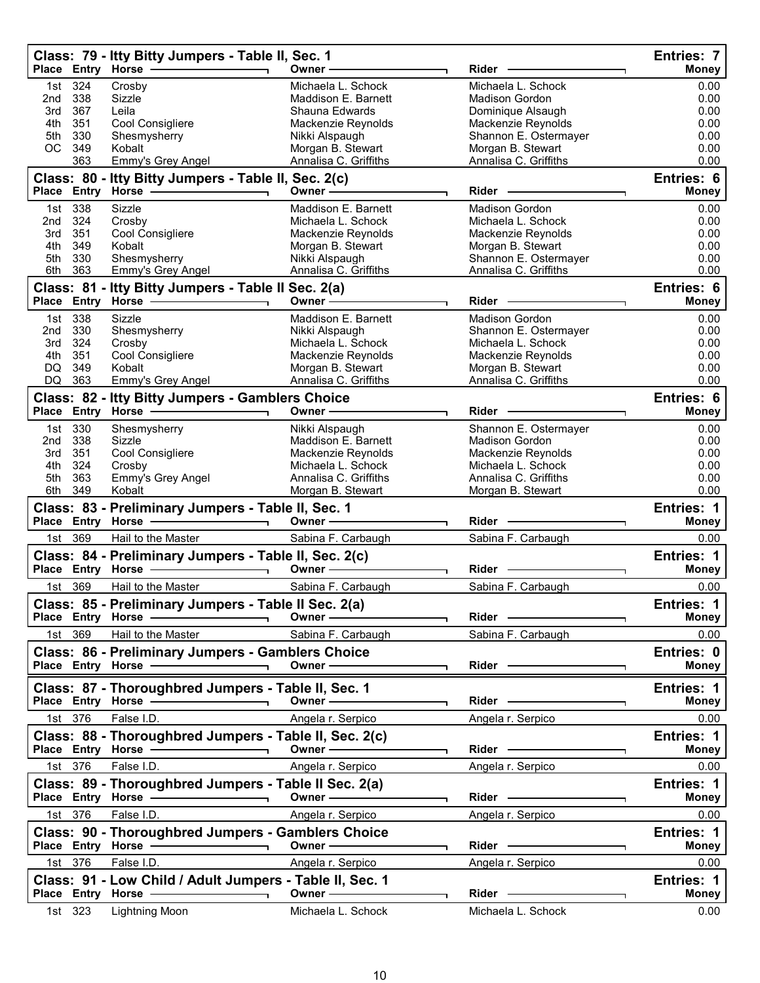|            |                | Class: 79 - Itty Bitty Jumpers - Table II, Sec. 1                                                             | Owner-                                      | Rider                                       | Entries: 7<br><b>Money</b>        |
|------------|----------------|---------------------------------------------------------------------------------------------------------------|---------------------------------------------|---------------------------------------------|-----------------------------------|
| 1st        | 324            | Crosby                                                                                                        | Michaela L. Schock                          | Michaela L. Schock                          | 0.00                              |
| 2nd        | 338            | Sizzle                                                                                                        | Maddison E. Barnett                         | <b>Madison Gordon</b>                       | 0.00                              |
| 3rd        | 367            | Leila                                                                                                         | Shauna Edwards                              | Dominique Alsaugh                           | 0.00                              |
| 5th        | 4th 351<br>330 | Cool Consigliere<br>Shesmysherry                                                                              | Mackenzie Reynolds<br>Nikki Alspaugh        | Mackenzie Reynolds<br>Shannon E. Ostermayer | 0.00<br>0.00                      |
| OC         | 349            | Kobalt                                                                                                        | Morgan B. Stewart                           | Morgan B. Stewart                           | 0.00                              |
|            | 363            | Emmy's Grey Angel                                                                                             | Annalisa C. Griffiths                       | Annalisa C. Griffiths                       | 0.00                              |
|            |                | Class: 80 - Itty Bitty Jumpers - Table II, Sec. 2(c)<br>Place Entry Horse                                     | Owner $-\!$                                 | Rider                                       | Entries: 6<br><b>Money</b>        |
|            | 1st 338        | Sizzle                                                                                                        | Maddison E. Barnett                         | <b>Madison Gordon</b>                       | 0.00                              |
| 2nd        | 324            | Crosby                                                                                                        | Michaela L. Schock                          | Michaela L. Schock                          | 0.00                              |
| 3rd<br>4th | 351<br>349     | Cool Consigliere<br>Kobalt                                                                                    | Mackenzie Reynolds                          | Mackenzie Reynolds                          | 0.00<br>0.00                      |
| 5th        | 330            | Shesmysherry                                                                                                  | Morgan B. Stewart<br>Nikki Alspaugh         | Morgan B. Stewart<br>Shannon E. Ostermayer  | 0.00                              |
| 6th        | 363            | Emmy's Grey Angel                                                                                             | Annalisa C. Griffiths                       | Annalisa C. Griffiths                       | 0.00                              |
|            |                | Class: 81 - Itty Bitty Jumpers - Table II Sec. 2(a)                                                           |                                             |                                             | Entries: 6                        |
|            |                | Place Entry Horse - The Control of the Control of The Control of The Control of The Control of The Control of | Owner-                                      | Rider                                       | <b>Money</b>                      |
|            | 1st 338        | Sizzle                                                                                                        | Maddison E. Barnett                         | Madison Gordon                              | 0.00                              |
| 2nd<br>3rd | 330<br>324     | Shesmysherry<br>Crosby                                                                                        | Nikki Alspaugh<br>Michaela L. Schock        | Shannon E. Ostermayer<br>Michaela L. Schock | 0.00<br>0.00                      |
|            | 4th 351        | Cool Consigliere                                                                                              | Mackenzie Reynolds                          | Mackenzie Reynolds                          | 0.00                              |
| DQ         | 349            | Kobalt                                                                                                        | Morgan B. Stewart                           | Morgan B. Stewart                           | 0.00                              |
| DQ         | 363            | Emmy's Grey Angel                                                                                             | Annalisa C. Griffiths                       | Annalisa C. Griffiths                       | 0.00                              |
|            |                | Class: 82 - Itty Bitty Jumpers - Gamblers Choice<br>Place Entry Horse - - - - - - -                           | Owner-                                      | Rider -                                     | Entries: 6<br>Money               |
|            | 1st 330        | Shesmysherry                                                                                                  | Nikki Alspaugh                              | Shannon E. Ostermayer                       | 0.00                              |
| 2nd        | 338            | Sizzle                                                                                                        | Maddison E. Barnett                         | <b>Madison Gordon</b>                       | 0.00                              |
| 3rd        | 351            | Cool Consigliere                                                                                              | Mackenzie Reynolds                          | Mackenzie Reynolds                          | 0.00                              |
| 4th<br>5th | 324<br>363     | Crosby<br>Emmy's Grey Angel                                                                                   | Michaela L. Schock<br>Annalisa C. Griffiths | Michaela L. Schock<br>Annalisa C. Griffiths | 0.00<br>0.00                      |
| 6th        | 349            | Kobalt                                                                                                        | Morgan B. Stewart                           | Morgan B. Stewart                           | 0.00                              |
|            |                | Class: 83 - Preliminary Jumpers - Table II, Sec. 1                                                            |                                             |                                             | <b>Entries: 1</b>                 |
|            |                | Place Entry Horse ————————————————————                                                                        | Owner -                                     | <b>Rider</b><br>٦.                          | <b>Money</b>                      |
|            | 1st 369        | Hail to the Master                                                                                            | Sabina F. Carbaugh                          | Sabina F. Carbaugh                          | 0.00                              |
|            |                | Class: 84 - Preliminary Jumpers - Table II, Sec. 2(c)<br>Place Entry Horse - and the manufacturer             | Owner-                                      | Rider                                       | Entries: 1<br><b>Money</b>        |
|            | 1st 369        | Hail to the Master                                                                                            | Sabina F. Carbaugh                          | Sabina F. Carbaugh                          | 0.00                              |
|            |                | Class: 85 - Preliminary Jumpers - Table II Sec. 2(a)                                                          |                                             |                                             | Entries: 1                        |
|            |                | Place Entry Horse -                                                                                           | Owner-                                      | Rider -                                     | <b>Money</b>                      |
|            | 1st 369        | Hail to the Master                                                                                            | Sabina F. Carbaugh                          | Sabina F. Carbaugh                          | 0.00                              |
|            |                | Class: 86 - Preliminary Jumpers - Gamblers Choice                                                             |                                             |                                             | Entries: 0                        |
|            |                |                                                                                                               | Owner -                                     | Rider ————                                  | <b>Money</b>                      |
|            |                | Class: 87 - Thoroughbred Jumpers - Table II, Sec. 1                                                           | Owner-                                      | Rider —                                     | Entries: 1<br><b>Money</b>        |
|            | 1st 376        | False I.D.                                                                                                    | Angela r. Serpico                           | Angela r. Serpico                           | 0.00                              |
|            |                |                                                                                                               |                                             |                                             |                                   |
|            |                | Class: 88 - Thoroughbred Jumpers - Table II, Sec. 2(c)                                                        | Owner $\_\_$                                | Rider —                                     | <b>Entries: 1</b><br><b>Money</b> |
|            | 1st 376        | False I.D.                                                                                                    | Angela r. Serpico                           | Angela r. Serpico                           | 0.00                              |
|            |                | Class: 89 - Thoroughbred Jumpers - Table II Sec. 2(a)                                                         |                                             |                                             | Entries: 1                        |
|            |                | Place Entry Horse - 2009                                                                                      | Owner $\longrightarrow$                     | Rider -                                     | <b>Money</b>                      |
|            | 1st 376        | False I.D.                                                                                                    | Angela r. Serpico                           | Angela r. Serpico                           | 0.00                              |
|            |                | Class: 90 - Thoroughbred Jumpers - Gamblers Choice                                                            |                                             |                                             | Entries: 1                        |
|            |                |                                                                                                               | Owner —                                     | $Rider -$                                   | Money                             |
|            | 1st 376        | False I.D.                                                                                                    | Angela r. Serpico                           | Angela r. Serpico                           | 0.00                              |
|            |                | Class: 91 - Low Child / Adult Jumpers - Table II, Sec. 1                                                      |                                             |                                             | Entries: 1                        |
|            |                | Place Entry Horse<br>$\overline{\phantom{0}}$                                                                 | Owner-                                      | Rider —                                     | <b>Money</b>                      |
|            | 1st 323        | Lightning Moon                                                                                                | Michaela L. Schock                          | Michaela L. Schock                          | 0.00                              |